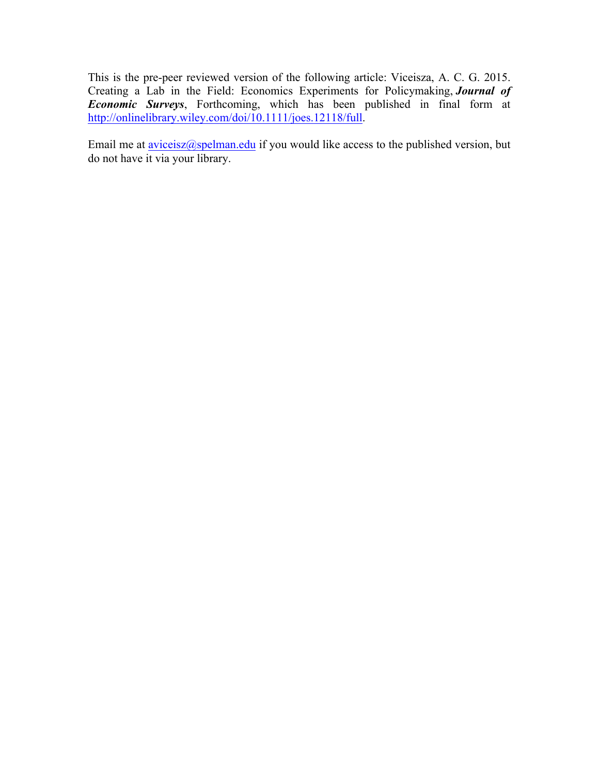This is the pre-peer reviewed version of the following article: Viceisza, A. C. G. 2015. Creating a Lab in the Field: Economics Experiments for Policymaking, *Journal of Economic Surveys*, Forthcoming, which has been published in final form at http://onlinelibrary.wiley.com/doi/10.1111/joes.12118/full.

Email me at **aviceisz@spelman.edu** if you would like access to the published version, but do not have it via your library.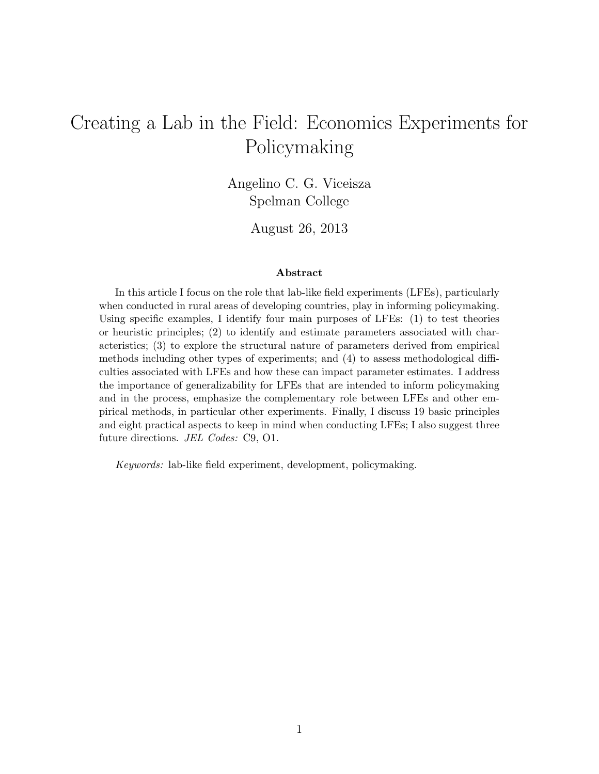# Creating a Lab in the Field: Economics Experiments for Policymaking

Angelino C. G. Viceisza Spelman College

August 26, 2013

#### Abstract

In this article I focus on the role that lab-like field experiments (LFEs), particularly when conducted in rural areas of developing countries, play in informing policymaking. Using specific examples, I identify four main purposes of LFEs: (1) to test theories or heuristic principles; (2) to identify and estimate parameters associated with characteristics; (3) to explore the structural nature of parameters derived from empirical methods including other types of experiments; and (4) to assess methodological difficulties associated with LFEs and how these can impact parameter estimates. I address the importance of generalizability for LFEs that are intended to inform policymaking and in the process, emphasize the complementary role between LFEs and other empirical methods, in particular other experiments. Finally, I discuss 19 basic principles and eight practical aspects to keep in mind when conducting LFEs; I also suggest three future directions. JEL Codes: C9, O1.

Keywords: lab-like field experiment, development, policymaking.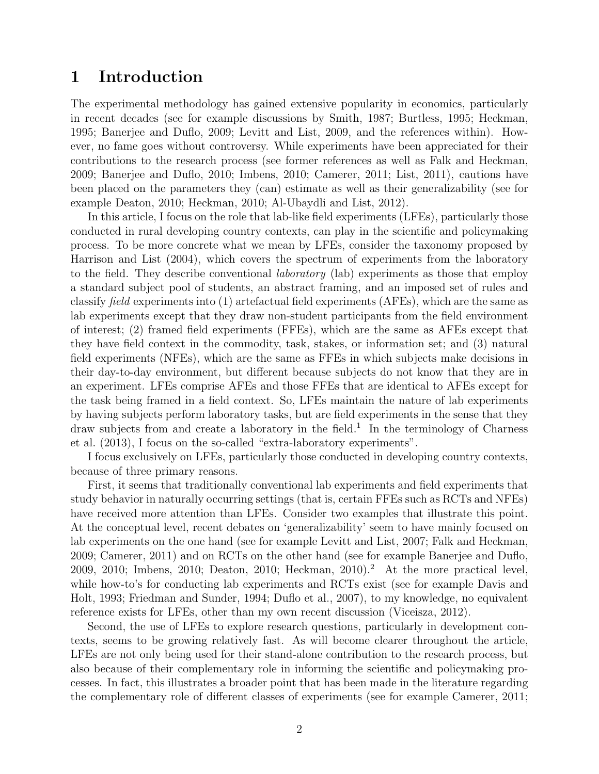### 1 Introduction

The experimental methodology has gained extensive popularity in economics, particularly in recent decades (see for example discussions by Smith, 1987; Burtless, 1995; Heckman, 1995; Banerjee and Duflo, 2009; Levitt and List, 2009, and the references within). However, no fame goes without controversy. While experiments have been appreciated for their contributions to the research process (see former references as well as Falk and Heckman, 2009; Banerjee and Duflo, 2010; Imbens, 2010; Camerer, 2011; List, 2011), cautions have been placed on the parameters they (can) estimate as well as their generalizability (see for example Deaton, 2010; Heckman, 2010; Al-Ubaydli and List, 2012).

In this article, I focus on the role that lab-like field experiments (LFEs), particularly those conducted in rural developing country contexts, can play in the scientific and policymaking process. To be more concrete what we mean by LFEs, consider the taxonomy proposed by Harrison and List (2004), which covers the spectrum of experiments from the laboratory to the field. They describe conventional laboratory (lab) experiments as those that employ a standard subject pool of students, an abstract framing, and an imposed set of rules and classify field experiments into (1) artefactual field experiments (AFEs), which are the same as lab experiments except that they draw non-student participants from the field environment of interest; (2) framed field experiments (FFEs), which are the same as AFEs except that they have field context in the commodity, task, stakes, or information set; and (3) natural field experiments (NFEs), which are the same as FFEs in which subjects make decisions in their day-to-day environment, but different because subjects do not know that they are in an experiment. LFEs comprise AFEs and those FFEs that are identical to AFEs except for the task being framed in a field context. So, LFEs maintain the nature of lab experiments by having subjects perform laboratory tasks, but are field experiments in the sense that they draw subjects from and create a laboratory in the field.<sup>1</sup> In the terminology of Charness et al. (2013), I focus on the so-called "extra-laboratory experiments".

I focus exclusively on LFEs, particularly those conducted in developing country contexts, because of three primary reasons.

First, it seems that traditionally conventional lab experiments and field experiments that study behavior in naturally occurring settings (that is, certain FFEs such as RCTs and NFEs) have received more attention than LFEs. Consider two examples that illustrate this point. At the conceptual level, recent debates on 'generalizability' seem to have mainly focused on lab experiments on the one hand (see for example Levitt and List, 2007; Falk and Heckman, 2009; Camerer, 2011) and on RCTs on the other hand (see for example Banerjee and Duflo, 2009, 2010; Imbens, 2010; Deaton, 2010; Heckman, 2010).<sup>2</sup> At the more practical level. while how-to's for conducting lab experiments and RCTs exist (see for example Davis and Holt, 1993; Friedman and Sunder, 1994; Duflo et al., 2007), to my knowledge, no equivalent reference exists for LFEs, other than my own recent discussion (Viceisza, 2012).

Second, the use of LFEs to explore research questions, particularly in development contexts, seems to be growing relatively fast. As will become clearer throughout the article, LFEs are not only being used for their stand-alone contribution to the research process, but also because of their complementary role in informing the scientific and policymaking processes. In fact, this illustrates a broader point that has been made in the literature regarding the complementary role of different classes of experiments (see for example Camerer, 2011;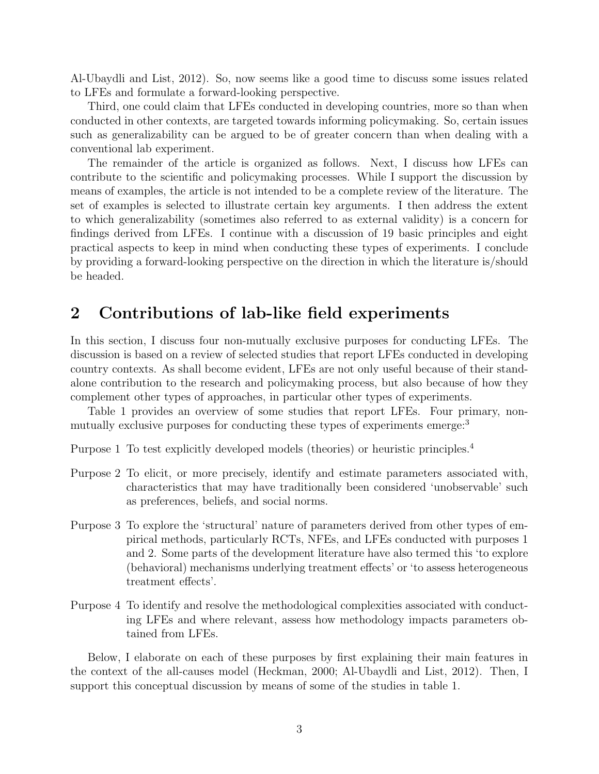Al-Ubaydli and List, 2012). So, now seems like a good time to discuss some issues related to LFEs and formulate a forward-looking perspective.

Third, one could claim that LFEs conducted in developing countries, more so than when conducted in other contexts, are targeted towards informing policymaking. So, certain issues such as generalizability can be argued to be of greater concern than when dealing with a conventional lab experiment.

The remainder of the article is organized as follows. Next, I discuss how LFEs can contribute to the scientific and policymaking processes. While I support the discussion by means of examples, the article is not intended to be a complete review of the literature. The set of examples is selected to illustrate certain key arguments. I then address the extent to which generalizability (sometimes also referred to as external validity) is a concern for findings derived from LFEs. I continue with a discussion of 19 basic principles and eight practical aspects to keep in mind when conducting these types of experiments. I conclude by providing a forward-looking perspective on the direction in which the literature is/should be headed.

### 2 Contributions of lab-like field experiments

In this section, I discuss four non-mutually exclusive purposes for conducting LFEs. The discussion is based on a review of selected studies that report LFEs conducted in developing country contexts. As shall become evident, LFEs are not only useful because of their standalone contribution to the research and policymaking process, but also because of how they complement other types of approaches, in particular other types of experiments.

Table 1 provides an overview of some studies that report LFEs. Four primary, nonmutually exclusive purposes for conducting these types of experiments emerge:<sup>3</sup>

Purpose 1 To test explicitly developed models (theories) or heuristic principles.<sup>4</sup>

- Purpose 2 To elicit, or more precisely, identify and estimate parameters associated with, characteristics that may have traditionally been considered 'unobservable' such as preferences, beliefs, and social norms.
- Purpose 3 To explore the 'structural' nature of parameters derived from other types of empirical methods, particularly RCTs, NFEs, and LFEs conducted with purposes 1 and 2. Some parts of the development literature have also termed this 'to explore (behavioral) mechanisms underlying treatment effects' or 'to assess heterogeneous treatment effects'.
- Purpose 4 To identify and resolve the methodological complexities associated with conducting LFEs and where relevant, assess how methodology impacts parameters obtained from LFEs.

Below, I elaborate on each of these purposes by first explaining their main features in the context of the all-causes model (Heckman, 2000; Al-Ubaydli and List, 2012). Then, I support this conceptual discussion by means of some of the studies in table 1.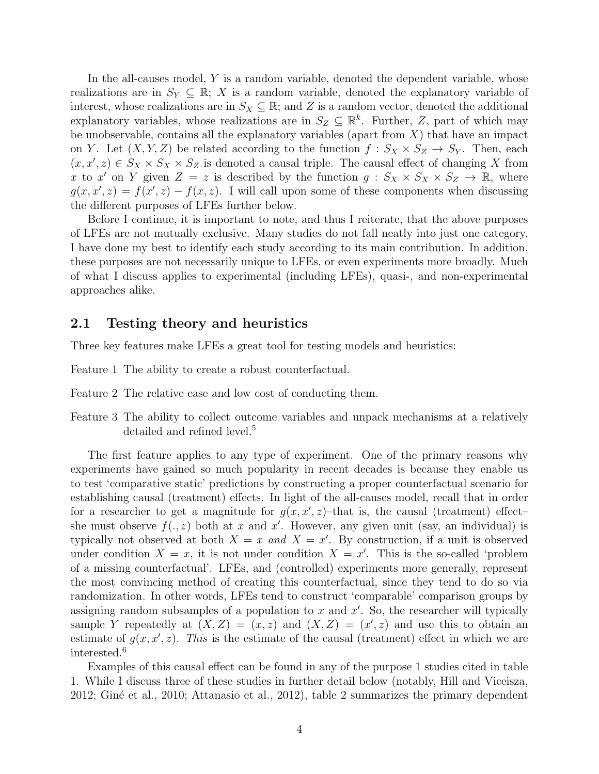In the all-causes model, Y is a random variable, denoted the dependent variable, whose realizations are in  $S_Y \subseteq \mathbb{R}$ ; X is a random variable, denoted the explanatory variable of interest, whose realizations are in  $S_X \subseteq \mathbb{R}$ ; and Z is a random vector, denoted the additional explanatory variables, whose realizations are in  $S_Z \subseteq \mathbb{R}^k$ . Further, Z, part of which may be unobservable, contains all the explanatory variables (apart from  $X$ ) that have an impact on Y. Let  $(X, Y, Z)$  be related according to the function  $f : S_X \times S_Z \to S_Y$ . Then, each  $(x, x', z) \in S_X \times S_X \times S_Z$  is denoted a causal triple. The causal effect of changing X from x to x' on Y given  $Z = z$  is described by the function  $g : S_X \times S_X \times S_Z \to \mathbb{R}$ , where  $g(x, x', z) = f(x', z) - f(x, z)$ . I will call upon some of these components when discussing the different purposes of LFEs further below.

Before I continue, it is important to note, and thus I reiterate, that the above purposes of LFEs are not mutually exclusive. Many studies do not fall neatly into just one category. I have done my best to identify each study according to its main contribution. In addition, these purposes are not necessarily unique to LFEs, or even experiments more broadly. Much of what I discuss applies to experimental (including LFEs), quasi-, and non-experimental approaches alike.

#### 2.1 Testing theory and heuristics

Three key features make LFEs a great tool for testing models and heuristics:

Feature 1 The ability to create a robust counterfactual.

Feature 2 The relative ease and low cost of conducting them.

Feature 3 The ability to collect outcome variables and unpack mechanisms at a relatively detailed and refined level.<sup>5</sup>

The first feature applies to any type of experiment. One of the primary reasons why experiments have gained so much popularity in recent decades is because they enable us to test 'comparative static' predictions by constructing a proper counterfactual scenario for establishing causal (treatment) effects. In light of the all-causes model, recall that in order for a researcher to get a magnitude for  $g(x, x', z)$ -that is, the causal (treatment) effectshe must observe  $f(., z)$  both at x and x'. However, any given unit (say, an individual) is typically not observed at both  $X = x$  and  $X = x'$ . By construction, if a unit is observed under condition  $X = x$ , it is not under condition  $X = x'$ . This is the so-called 'problem of a missing counterfactual'. LFEs, and (controlled) experiments more generally, represent the most convincing method of creating this counterfactual, since they tend to do so via randomization. In other words, LFEs tend to construct 'comparable' comparison groups by assigning random subsamples of a population to  $x$  and  $x'$ . So, the researcher will typically sample Y repeatedly at  $(X, Z) = (x, z)$  and  $(X, Z) = (x', z)$  and use this to obtain an estimate of  $g(x, x', z)$ . This is the estimate of the causal (treatment) effect in which we are interested.<sup>6</sup>

Examples of this causal effect can be found in any of the purpose 1 studies cited in table 1. While I discuss three of these studies in further detail below (notably, Hill and Viceisza, 2012; Gin´e et al., 2010; Attanasio et al., 2012), table 2 summarizes the primary dependent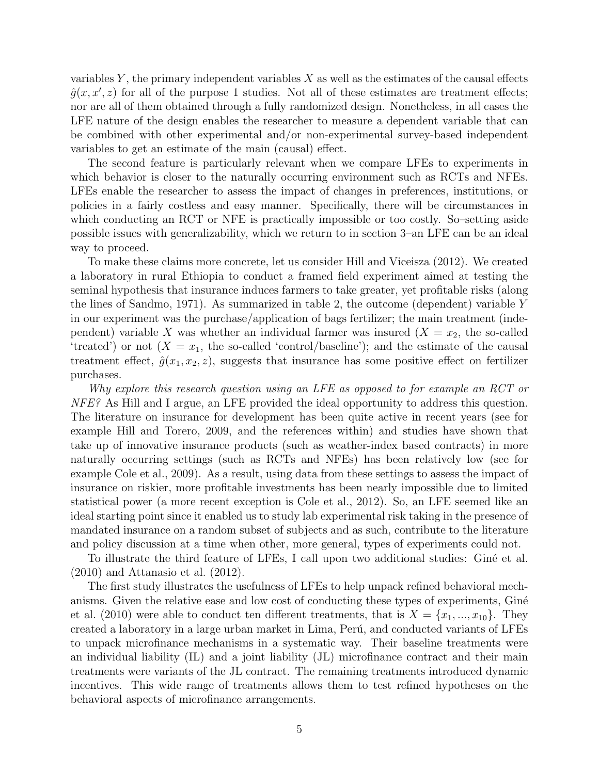variables  $Y$ , the primary independent variables  $X$  as well as the estimates of the causal effects  $\hat{g}(x, x', z)$  for all of the purpose 1 studies. Not all of these estimates are treatment effects; nor are all of them obtained through a fully randomized design. Nonetheless, in all cases the LFE nature of the design enables the researcher to measure a dependent variable that can be combined with other experimental and/or non-experimental survey-based independent variables to get an estimate of the main (causal) effect.

The second feature is particularly relevant when we compare LFEs to experiments in which behavior is closer to the naturally occurring environment such as RCTs and NFEs. LFEs enable the researcher to assess the impact of changes in preferences, institutions, or policies in a fairly costless and easy manner. Specifically, there will be circumstances in which conducting an RCT or NFE is practically impossible or too costly. So–setting aside possible issues with generalizability, which we return to in section 3–an LFE can be an ideal way to proceed.

To make these claims more concrete, let us consider Hill and Viceisza (2012). We created a laboratory in rural Ethiopia to conduct a framed field experiment aimed at testing the seminal hypothesis that insurance induces farmers to take greater, yet profitable risks (along the lines of Sandmo, 1971). As summarized in table 2, the outcome (dependent) variable Y in our experiment was the purchase/application of bags fertilizer; the main treatment (independent) variable X was whether an individual farmer was insured  $(X = x_2$ , the so-called 'treated') or not  $(X = x_1$ , the so-called 'control/baseline'); and the estimate of the causal treatment effect,  $\hat{g}(x_1, x_2, z)$ , suggests that insurance has some positive effect on fertilizer purchases.

Why explore this research question using an LFE as opposed to for example an RCT or NFE? As Hill and I argue, an LFE provided the ideal opportunity to address this question. The literature on insurance for development has been quite active in recent years (see for example Hill and Torero, 2009, and the references within) and studies have shown that take up of innovative insurance products (such as weather-index based contracts) in more naturally occurring settings (such as RCTs and NFEs) has been relatively low (see for example Cole et al., 2009). As a result, using data from these settings to assess the impact of insurance on riskier, more profitable investments has been nearly impossible due to limited statistical power (a more recent exception is Cole et al., 2012). So, an LFE seemed like an ideal starting point since it enabled us to study lab experimental risk taking in the presence of mandated insurance on a random subset of subjects and as such, contribute to the literature and policy discussion at a time when other, more general, types of experiments could not.

To illustrate the third feature of LFEs, I call upon two additional studies: Giné et al. (2010) and Attanasio et al. (2012).

The first study illustrates the usefulness of LFEs to help unpack refined behavioral mechanisms. Given the relative ease and low cost of conducting these types of experiments, Giné et al. (2010) were able to conduct ten different treatments, that is  $X = \{x_1, ..., x_{10}\}\.$  They created a laboratory in a large urban market in Lima, Perú, and conducted variants of LFEs to unpack microfinance mechanisms in a systematic way. Their baseline treatments were an individual liability (IL) and a joint liability (JL) microfinance contract and their main treatments were variants of the JL contract. The remaining treatments introduced dynamic incentives. This wide range of treatments allows them to test refined hypotheses on the behavioral aspects of microfinance arrangements.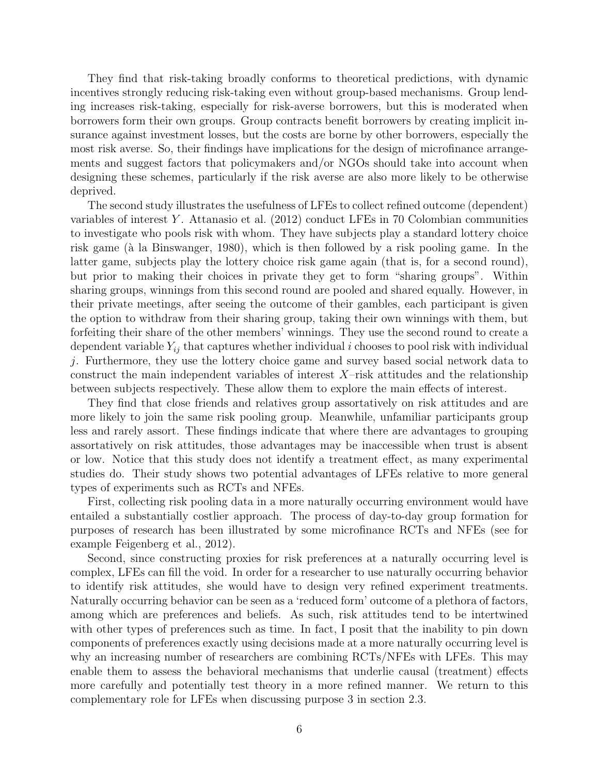They find that risk-taking broadly conforms to theoretical predictions, with dynamic incentives strongly reducing risk-taking even without group-based mechanisms. Group lending increases risk-taking, especially for risk-averse borrowers, but this is moderated when borrowers form their own groups. Group contracts benefit borrowers by creating implicit insurance against investment losses, but the costs are borne by other borrowers, especially the most risk averse. So, their findings have implications for the design of microfinance arrangements and suggest factors that policymakers and/or NGOs should take into account when designing these schemes, particularly if the risk averse are also more likely to be otherwise deprived.

The second study illustrates the usefulness of LFEs to collect refined outcome (dependent) variables of interest Y. Attanasio et al.  $(2012)$  conduct LFEs in 70 Colombian communities to investigate who pools risk with whom. They have subjects play a standard lottery choice risk game (à la Binswanger, 1980), which is then followed by a risk pooling game. In the latter game, subjects play the lottery choice risk game again (that is, for a second round), but prior to making their choices in private they get to form "sharing groups". Within sharing groups, winnings from this second round are pooled and shared equally. However, in their private meetings, after seeing the outcome of their gambles, each participant is given the option to withdraw from their sharing group, taking their own winnings with them, but forfeiting their share of the other members' winnings. They use the second round to create a dependent variable  $Y_{ij}$  that captures whether individual i chooses to pool risk with individual j. Furthermore, they use the lottery choice game and survey based social network data to construct the main independent variables of interest  $X$ -risk attitudes and the relationship between subjects respectively. These allow them to explore the main effects of interest.

They find that close friends and relatives group assortatively on risk attitudes and are more likely to join the same risk pooling group. Meanwhile, unfamiliar participants group less and rarely assort. These findings indicate that where there are advantages to grouping assortatively on risk attitudes, those advantages may be inaccessible when trust is absent or low. Notice that this study does not identify a treatment effect, as many experimental studies do. Their study shows two potential advantages of LFEs relative to more general types of experiments such as RCTs and NFEs.

First, collecting risk pooling data in a more naturally occurring environment would have entailed a substantially costlier approach. The process of day-to-day group formation for purposes of research has been illustrated by some microfinance RCTs and NFEs (see for example Feigenberg et al., 2012).

Second, since constructing proxies for risk preferences at a naturally occurring level is complex, LFEs can fill the void. In order for a researcher to use naturally occurring behavior to identify risk attitudes, she would have to design very refined experiment treatments. Naturally occurring behavior can be seen as a 'reduced form' outcome of a plethora of factors, among which are preferences and beliefs. As such, risk attitudes tend to be intertwined with other types of preferences such as time. In fact, I posit that the inability to pin down components of preferences exactly using decisions made at a more naturally occurring level is why an increasing number of researchers are combining RCTs/NFEs with LFEs. This may enable them to assess the behavioral mechanisms that underlie causal (treatment) effects more carefully and potentially test theory in a more refined manner. We return to this complementary role for LFEs when discussing purpose 3 in section 2.3.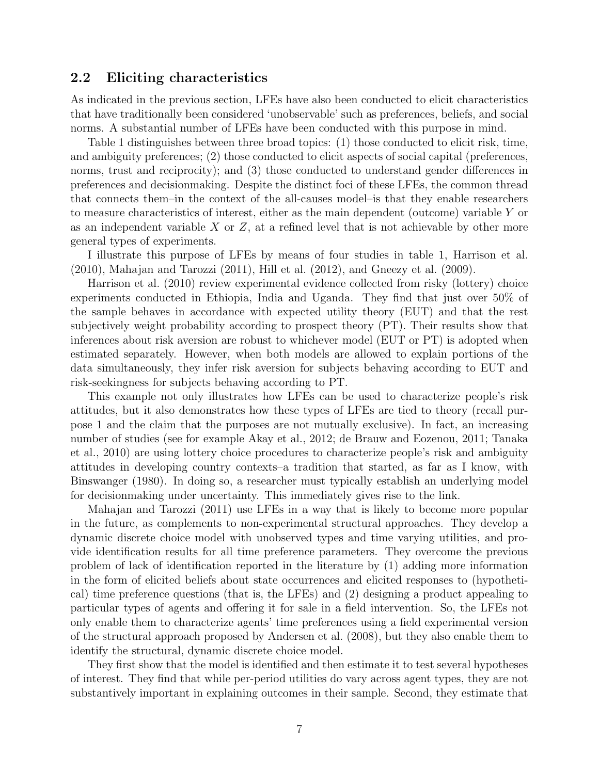### 2.2 Eliciting characteristics

As indicated in the previous section, LFEs have also been conducted to elicit characteristics that have traditionally been considered 'unobservable' such as preferences, beliefs, and social norms. A substantial number of LFEs have been conducted with this purpose in mind.

Table 1 distinguishes between three broad topics: (1) those conducted to elicit risk, time, and ambiguity preferences; (2) those conducted to elicit aspects of social capital (preferences, norms, trust and reciprocity); and (3) those conducted to understand gender differences in preferences and decisionmaking. Despite the distinct foci of these LFEs, the common thread that connects them–in the context of the all-causes model–is that they enable researchers to measure characteristics of interest, either as the main dependent (outcome) variable Y or as an independent variable  $X$  or  $Z$ , at a refined level that is not achievable by other more general types of experiments.

I illustrate this purpose of LFEs by means of four studies in table 1, Harrison et al.  $(2010)$ , Mahajan and Tarozzi  $(2011)$ , Hill et al.  $(2012)$ , and Gneezy et al.  $(2009)$ .

Harrison et al. (2010) review experimental evidence collected from risky (lottery) choice experiments conducted in Ethiopia, India and Uganda. They find that just over 50% of the sample behaves in accordance with expected utility theory (EUT) and that the rest subjectively weight probability according to prospect theory (PT). Their results show that inferences about risk aversion are robust to whichever model (EUT or PT) is adopted when estimated separately. However, when both models are allowed to explain portions of the data simultaneously, they infer risk aversion for subjects behaving according to EUT and risk-seekingness for subjects behaving according to PT.

This example not only illustrates how LFEs can be used to characterize people's risk attitudes, but it also demonstrates how these types of LFEs are tied to theory (recall purpose 1 and the claim that the purposes are not mutually exclusive). In fact, an increasing number of studies (see for example Akay et al., 2012; de Brauw and Eozenou, 2011; Tanaka et al., 2010) are using lottery choice procedures to characterize people's risk and ambiguity attitudes in developing country contexts–a tradition that started, as far as I know, with Binswanger (1980). In doing so, a researcher must typically establish an underlying model for decisionmaking under uncertainty. This immediately gives rise to the link.

Mahajan and Tarozzi (2011) use LFEs in a way that is likely to become more popular in the future, as complements to non-experimental structural approaches. They develop a dynamic discrete choice model with unobserved types and time varying utilities, and provide identification results for all time preference parameters. They overcome the previous problem of lack of identification reported in the literature by (1) adding more information in the form of elicited beliefs about state occurrences and elicited responses to (hypothetical) time preference questions (that is, the LFEs) and (2) designing a product appealing to particular types of agents and offering it for sale in a field intervention. So, the LFEs not only enable them to characterize agents' time preferences using a field experimental version of the structural approach proposed by Andersen et al. (2008), but they also enable them to identify the structural, dynamic discrete choice model.

They first show that the model is identified and then estimate it to test several hypotheses of interest. They find that while per-period utilities do vary across agent types, they are not substantively important in explaining outcomes in their sample. Second, they estimate that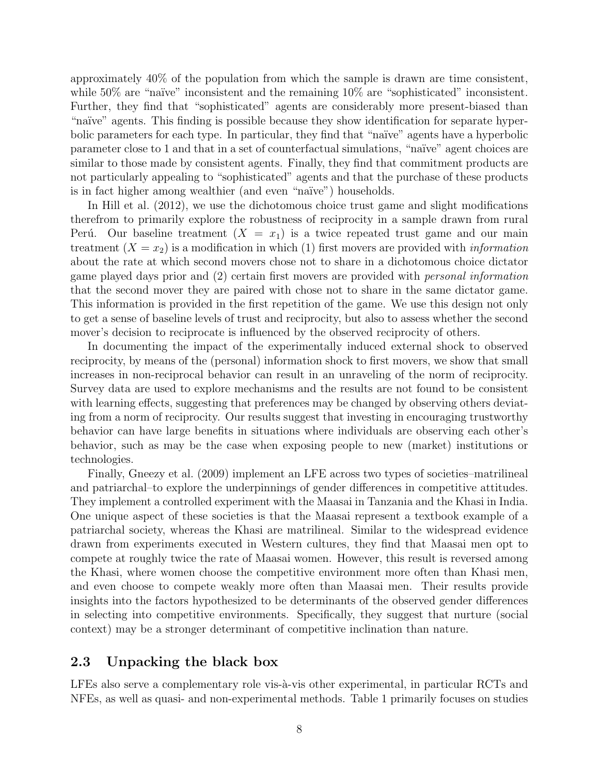approximately 40% of the population from which the sample is drawn are time consistent, while  $50\%$  are "naïve" inconsistent and the remaining  $10\%$  are "sophisticated" inconsistent. Further, they find that "sophisticated" agents are considerably more present-biased than "na¨ıve" agents. This finding is possible because they show identification for separate hyperbolic parameters for each type. In particular, they find that "naïve" agents have a hyperbolic parameter close to 1 and that in a set of counterfactual simulations, "na¨ıve" agent choices are similar to those made by consistent agents. Finally, they find that commitment products are not particularly appealing to "sophisticated" agents and that the purchase of these products is in fact higher among wealthier (and even "naïve") households.

In Hill et al. (2012), we use the dichotomous choice trust game and slight modifications therefrom to primarily explore the robustness of reciprocity in a sample drawn from rural Perú. Our baseline treatment  $(X = x_1)$  is a twice repeated trust game and our main treatment  $(X = x_2)$  is a modification in which (1) first movers are provided with *information* about the rate at which second movers chose not to share in a dichotomous choice dictator game played days prior and (2) certain first movers are provided with personal information that the second mover they are paired with chose not to share in the same dictator game. This information is provided in the first repetition of the game. We use this design not only to get a sense of baseline levels of trust and reciprocity, but also to assess whether the second mover's decision to reciprocate is influenced by the observed reciprocity of others.

In documenting the impact of the experimentally induced external shock to observed reciprocity, by means of the (personal) information shock to first movers, we show that small increases in non-reciprocal behavior can result in an unraveling of the norm of reciprocity. Survey data are used to explore mechanisms and the results are not found to be consistent with learning effects, suggesting that preferences may be changed by observing others deviating from a norm of reciprocity. Our results suggest that investing in encouraging trustworthy behavior can have large benefits in situations where individuals are observing each other's behavior, such as may be the case when exposing people to new (market) institutions or technologies.

Finally, Gneezy et al. (2009) implement an LFE across two types of societies–matrilineal and patriarchal–to explore the underpinnings of gender differences in competitive attitudes. They implement a controlled experiment with the Maasai in Tanzania and the Khasi in India. One unique aspect of these societies is that the Maasai represent a textbook example of a patriarchal society, whereas the Khasi are matrilineal. Similar to the widespread evidence drawn from experiments executed in Western cultures, they find that Maasai men opt to compete at roughly twice the rate of Maasai women. However, this result is reversed among the Khasi, where women choose the competitive environment more often than Khasi men, and even choose to compete weakly more often than Maasai men. Their results provide insights into the factors hypothesized to be determinants of the observed gender differences in selecting into competitive environments. Specifically, they suggest that nurture (social context) may be a stronger determinant of competitive inclination than nature.

#### 2.3 Unpacking the black box

LFEs also serve a complementary role vis-à-vis other experimental, in particular RCTs and NFEs, as well as quasi- and non-experimental methods. Table 1 primarily focuses on studies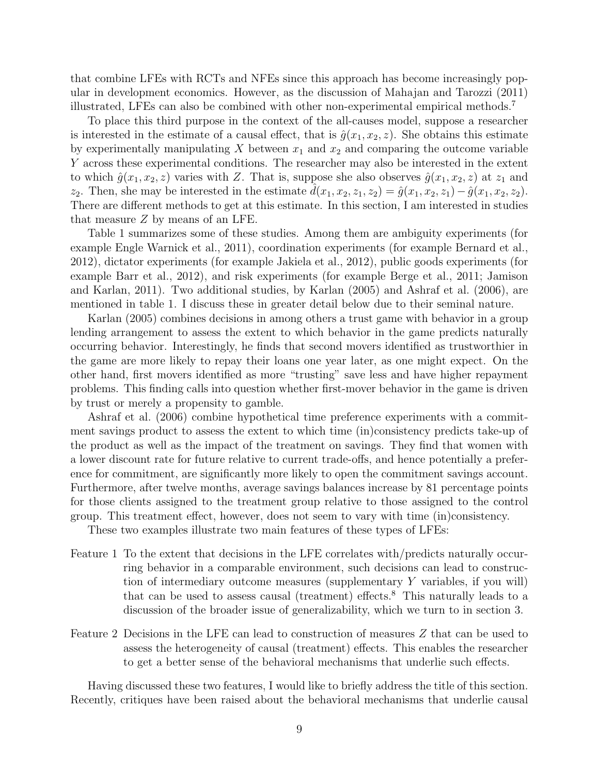that combine LFEs with RCTs and NFEs since this approach has become increasingly popular in development economics. However, as the discussion of Mahajan and Tarozzi (2011) illustrated, LFEs can also be combined with other non-experimental empirical methods.<sup>7</sup>

To place this third purpose in the context of the all-causes model, suppose a researcher is interested in the estimate of a causal effect, that is  $\hat{g}(x_1, x_2, z)$ . She obtains this estimate by experimentally manipulating X between  $x_1$  and  $x_2$  and comparing the outcome variable Y across these experimental conditions. The researcher may also be interested in the extent to which  $\hat{g}(x_1, x_2, z)$  varies with Z. That is, suppose she also observes  $\hat{g}(x_1, x_2, z)$  at  $z_1$  and z<sub>2</sub>. Then, she may be interested in the estimate  $d(x_1, x_2, z_1, z_2) = \hat{g}(x_1, x_2, z_1) - \hat{g}(x_1, x_2, z_2)$ . There are different methods to get at this estimate. In this section, I am interested in studies that measure Z by means of an LFE.

Table 1 summarizes some of these studies. Among them are ambiguity experiments (for example Engle Warnick et al., 2011), coordination experiments (for example Bernard et al., 2012), dictator experiments (for example Jakiela et al., 2012), public goods experiments (for example Barr et al., 2012), and risk experiments (for example Berge et al., 2011; Jamison and Karlan, 2011). Two additional studies, by Karlan (2005) and Ashraf et al. (2006), are mentioned in table 1. I discuss these in greater detail below due to their seminal nature.

Karlan (2005) combines decisions in among others a trust game with behavior in a group lending arrangement to assess the extent to which behavior in the game predicts naturally occurring behavior. Interestingly, he finds that second movers identified as trustworthier in the game are more likely to repay their loans one year later, as one might expect. On the other hand, first movers identified as more "trusting" save less and have higher repayment problems. This finding calls into question whether first-mover behavior in the game is driven by trust or merely a propensity to gamble.

Ashraf et al. (2006) combine hypothetical time preference experiments with a commitment savings product to assess the extent to which time (in)consistency predicts take-up of the product as well as the impact of the treatment on savings. They find that women with a lower discount rate for future relative to current trade-offs, and hence potentially a preference for commitment, are significantly more likely to open the commitment savings account. Furthermore, after twelve months, average savings balances increase by 81 percentage points for those clients assigned to the treatment group relative to those assigned to the control group. This treatment effect, however, does not seem to vary with time (in)consistency.

These two examples illustrate two main features of these types of LFEs:

- Feature 1 To the extent that decisions in the LFE correlates with/predicts naturally occurring behavior in a comparable environment, such decisions can lead to construction of intermediary outcome measures (supplementary Y variables, if you will) that can be used to assess causal (treatment) effects. $8$  This naturally leads to a discussion of the broader issue of generalizability, which we turn to in section 3.
- Feature 2 Decisions in the LFE can lead to construction of measures Z that can be used to assess the heterogeneity of causal (treatment) effects. This enables the researcher to get a better sense of the behavioral mechanisms that underlie such effects.

Having discussed these two features, I would like to briefly address the title of this section. Recently, critiques have been raised about the behavioral mechanisms that underlie causal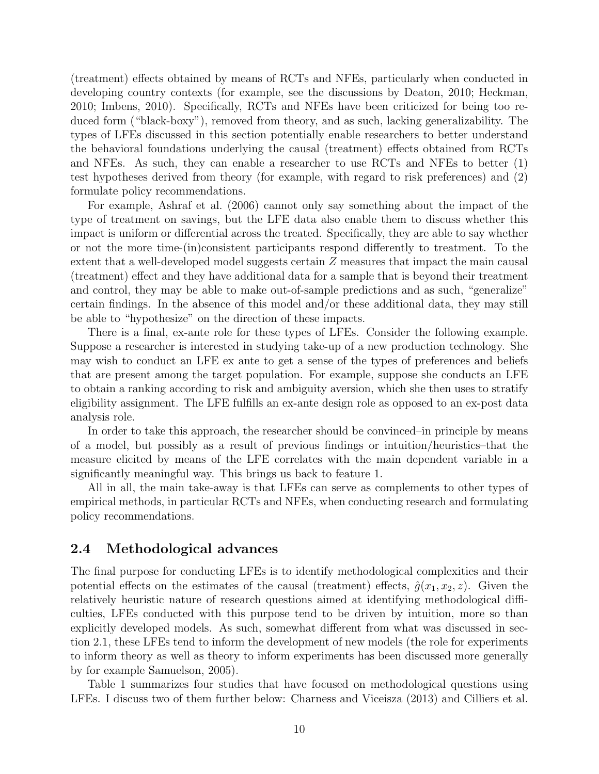(treatment) effects obtained by means of RCTs and NFEs, particularly when conducted in developing country contexts (for example, see the discussions by Deaton, 2010; Heckman, 2010; Imbens, 2010). Specifically, RCTs and NFEs have been criticized for being too reduced form ("black-boxy"), removed from theory, and as such, lacking generalizability. The types of LFEs discussed in this section potentially enable researchers to better understand the behavioral foundations underlying the causal (treatment) effects obtained from RCTs and NFEs. As such, they can enable a researcher to use RCTs and NFEs to better (1) test hypotheses derived from theory (for example, with regard to risk preferences) and (2) formulate policy recommendations.

For example, Ashraf et al. (2006) cannot only say something about the impact of the type of treatment on savings, but the LFE data also enable them to discuss whether this impact is uniform or differential across the treated. Specifically, they are able to say whether or not the more time-(in)consistent participants respond differently to treatment. To the extent that a well-developed model suggests certain Z measures that impact the main causal (treatment) effect and they have additional data for a sample that is beyond their treatment and control, they may be able to make out-of-sample predictions and as such, "generalize" certain findings. In the absence of this model and/or these additional data, they may still be able to "hypothesize" on the direction of these impacts.

There is a final, ex-ante role for these types of LFEs. Consider the following example. Suppose a researcher is interested in studying take-up of a new production technology. She may wish to conduct an LFE ex ante to get a sense of the types of preferences and beliefs that are present among the target population. For example, suppose she conducts an LFE to obtain a ranking according to risk and ambiguity aversion, which she then uses to stratify eligibility assignment. The LFE fulfills an ex-ante design role as opposed to an ex-post data analysis role.

In order to take this approach, the researcher should be convinced–in principle by means of a model, but possibly as a result of previous findings or intuition/heuristics–that the measure elicited by means of the LFE correlates with the main dependent variable in a significantly meaningful way. This brings us back to feature 1.

All in all, the main take-away is that LFEs can serve as complements to other types of empirical methods, in particular RCTs and NFEs, when conducting research and formulating policy recommendations.

### 2.4 Methodological advances

The final purpose for conducting LFEs is to identify methodological complexities and their potential effects on the estimates of the causal (treatment) effects,  $\hat{g}(x_1, x_2, z)$ . Given the relatively heuristic nature of research questions aimed at identifying methodological difficulties, LFEs conducted with this purpose tend to be driven by intuition, more so than explicitly developed models. As such, somewhat different from what was discussed in section 2.1, these LFEs tend to inform the development of new models (the role for experiments to inform theory as well as theory to inform experiments has been discussed more generally by for example Samuelson, 2005).

Table 1 summarizes four studies that have focused on methodological questions using LFEs. I discuss two of them further below: Charness and Viceisza (2013) and Cilliers et al.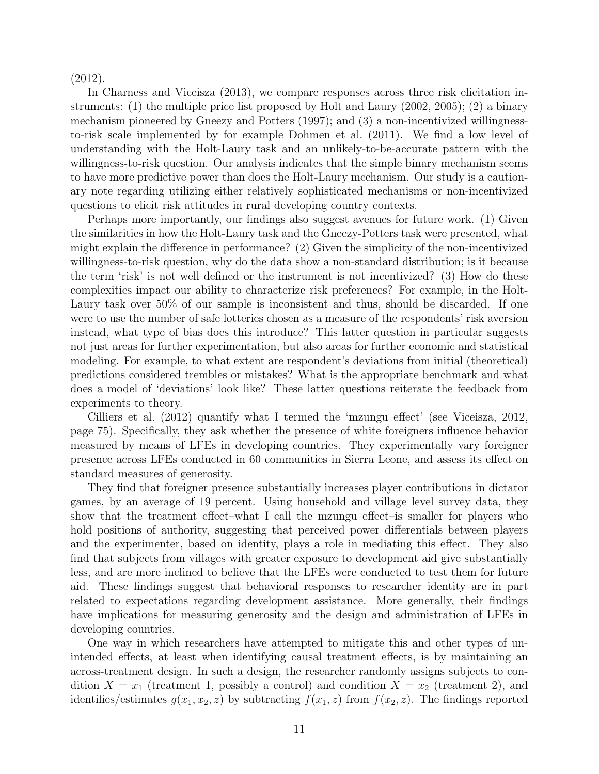(2012).

In Charness and Viceisza (2013), we compare responses across three risk elicitation instruments: (1) the multiple price list proposed by Holt and Laury (2002, 2005); (2) a binary mechanism pioneered by Gneezy and Potters (1997); and (3) a non-incentivized willingnessto-risk scale implemented by for example Dohmen et al. (2011). We find a low level of understanding with the Holt-Laury task and an unlikely-to-be-accurate pattern with the willingness-to-risk question. Our analysis indicates that the simple binary mechanism seems to have more predictive power than does the Holt-Laury mechanism. Our study is a cautionary note regarding utilizing either relatively sophisticated mechanisms or non-incentivized questions to elicit risk attitudes in rural developing country contexts.

Perhaps more importantly, our findings also suggest avenues for future work. (1) Given the similarities in how the Holt-Laury task and the Gneezy-Potters task were presented, what might explain the difference in performance? (2) Given the simplicity of the non-incentivized willingness-to-risk question, why do the data show a non-standard distribution; is it because the term 'risk' is not well defined or the instrument is not incentivized? (3) How do these complexities impact our ability to characterize risk preferences? For example, in the Holt-Laury task over 50% of our sample is inconsistent and thus, should be discarded. If one were to use the number of safe lotteries chosen as a measure of the respondents' risk aversion instead, what type of bias does this introduce? This latter question in particular suggests not just areas for further experimentation, but also areas for further economic and statistical modeling. For example, to what extent are respondent's deviations from initial (theoretical) predictions considered trembles or mistakes? What is the appropriate benchmark and what does a model of 'deviations' look like? These latter questions reiterate the feedback from experiments to theory.

Cilliers et al. (2012) quantify what I termed the 'mzungu effect' (see Viceisza, 2012, page 75). Specifically, they ask whether the presence of white foreigners influence behavior measured by means of LFEs in developing countries. They experimentally vary foreigner presence across LFEs conducted in 60 communities in Sierra Leone, and assess its effect on standard measures of generosity.

They find that foreigner presence substantially increases player contributions in dictator games, by an average of 19 percent. Using household and village level survey data, they show that the treatment effect–what I call the mzungu effect–is smaller for players who hold positions of authority, suggesting that perceived power differentials between players and the experimenter, based on identity, plays a role in mediating this effect. They also find that subjects from villages with greater exposure to development aid give substantially less, and are more inclined to believe that the LFEs were conducted to test them for future aid. These findings suggest that behavioral responses to researcher identity are in part related to expectations regarding development assistance. More generally, their findings have implications for measuring generosity and the design and administration of LFEs in developing countries.

One way in which researchers have attempted to mitigate this and other types of unintended effects, at least when identifying causal treatment effects, is by maintaining an across-treatment design. In such a design, the researcher randomly assigns subjects to condition  $X = x_1$  (treatment 1, possibly a control) and condition  $X = x_2$  (treatment 2), and identifies/estimates  $g(x_1, x_2, z)$  by subtracting  $f(x_1, z)$  from  $f(x_2, z)$ . The findings reported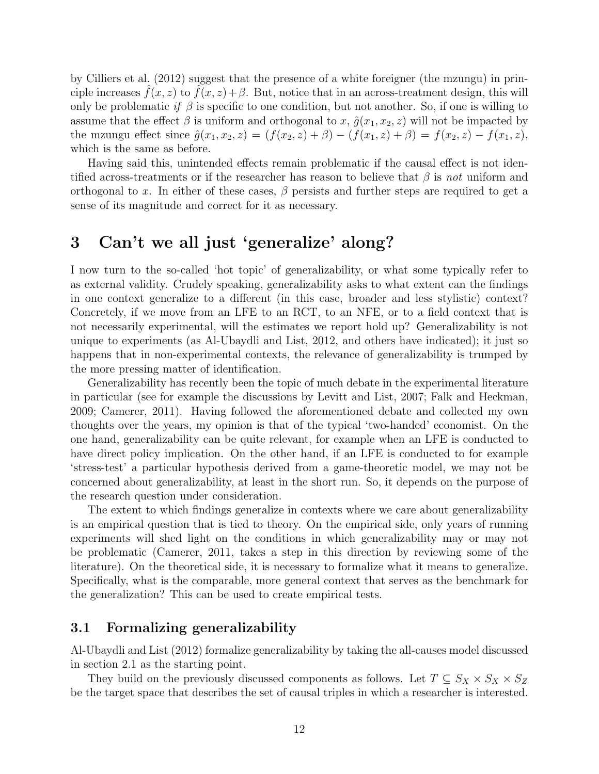by Cilliers et al. (2012) suggest that the presence of a white foreigner (the mzungu) in principle increases  $\hat{f}(x, z)$  to  $\hat{f}(x, z) + \beta$ . But, notice that in an across-treatment design, this will only be problematic if  $\beta$  is specific to one condition, but not another. So, if one is willing to assume that the effect  $\beta$  is uniform and orthogonal to x,  $\hat{g}(x_1, x_2, z)$  will not be impacted by the mzungu effect since  $\hat{g}(x_1, x_2, z) = (f(x_2, z) + \beta) - (f(x_1, z) + \beta) = f(x_2, z) - f(x_1, z),$ which is the same as before.

Having said this, unintended effects remain problematic if the causal effect is not identified across-treatments or if the researcher has reason to believe that  $\beta$  is not uniform and orthogonal to x. In either of these cases,  $\beta$  persists and further steps are required to get a sense of its magnitude and correct for it as necessary.

# 3 Can't we all just 'generalize' along?

I now turn to the so-called 'hot topic' of generalizability, or what some typically refer to as external validity. Crudely speaking, generalizability asks to what extent can the findings in one context generalize to a different (in this case, broader and less stylistic) context? Concretely, if we move from an LFE to an RCT, to an NFE, or to a field context that is not necessarily experimental, will the estimates we report hold up? Generalizability is not unique to experiments (as Al-Ubaydli and List, 2012, and others have indicated); it just so happens that in non-experimental contexts, the relevance of generalizability is trumped by the more pressing matter of identification.

Generalizability has recently been the topic of much debate in the experimental literature in particular (see for example the discussions by Levitt and List, 2007; Falk and Heckman, 2009; Camerer, 2011). Having followed the aforementioned debate and collected my own thoughts over the years, my opinion is that of the typical 'two-handed' economist. On the one hand, generalizability can be quite relevant, for example when an LFE is conducted to have direct policy implication. On the other hand, if an LFE is conducted to for example 'stress-test' a particular hypothesis derived from a game-theoretic model, we may not be concerned about generalizability, at least in the short run. So, it depends on the purpose of the research question under consideration.

The extent to which findings generalize in contexts where we care about generalizability is an empirical question that is tied to theory. On the empirical side, only years of running experiments will shed light on the conditions in which generalizability may or may not be problematic (Camerer, 2011, takes a step in this direction by reviewing some of the literature). On the theoretical side, it is necessary to formalize what it means to generalize. Specifically, what is the comparable, more general context that serves as the benchmark for the generalization? This can be used to create empirical tests.

### 3.1 Formalizing generalizability

Al-Ubaydli and List (2012) formalize generalizability by taking the all-causes model discussed in section 2.1 as the starting point.

They build on the previously discussed components as follows. Let  $T \subseteq S_X \times S_X \times S_Z$ be the target space that describes the set of causal triples in which a researcher is interested.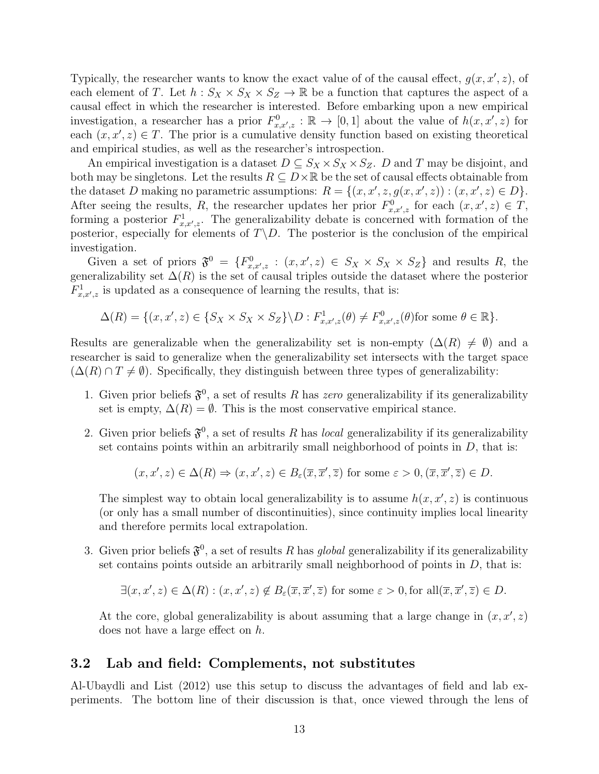Typically, the researcher wants to know the exact value of of the causal effect,  $g(x, x', z)$ , of each element of T. Let  $h: S_X \times S_X \times S_Z \to \mathbb{R}$  be a function that captures the aspect of a causal effect in which the researcher is interested. Before embarking upon a new empirical investigation, a researcher has a prior  $F^0_{x,x',z} : \mathbb{R} \to [0,1]$  about the value of  $h(x,x',z)$  for each  $(x, x', z) \in T$ . The prior is a cumulative density function based on existing theoretical and empirical studies, as well as the researcher's introspection.

An empirical investigation is a dataset  $D \subseteq S_X \times S_X \times S_Z$ . D and T may be disjoint, and both may be singletons. Let the results  $R \subseteq D \times \mathbb{R}$  be the set of causal effects obtainable from the dataset D making no parametric assumptions:  $R = \{(x, x', z, g(x, x', z)) : (x, x', z) \in D\}.$ After seeing the results, R, the researcher updates her prior  $F^0_{x,x',z}$  for each  $(x, x', z) \in T$ , forming a posterior  $F^1_{x,x',z}$ . The generalizability debate is concerned with formation of the posterior, especially for elements of  $T\backslash D$ . The posterior is the conclusion of the empirical investigation.

Given a set of priors  $\mathfrak{F}^0 = \{F_{x,x',z}^0 : (x,x',z) \in S_X \times S_X \times S_Z\}$  and results R, the generalizability set  $\Delta(R)$  is the set of causal triples outside the dataset where the posterior  $F_{x,x',z}^1$  is updated as a consequence of learning the results, that is:

$$
\Delta(R) = \{ (x, x', z) \in \{ S_X \times S_X \times S_Z \} \backslash D : F^1_{x, x', z}(\theta) \neq F^0_{x, x', z}(\theta) \text{ for some } \theta \in \mathbb{R} \}.
$$

Results are generalizable when the generalizability set is non-empty  $(\Delta(R) \neq \emptyset)$  and a researcher is said to generalize when the generalizability set intersects with the target space  $(\Delta(R) \cap T \neq \emptyset)$ . Specifically, they distinguish between three types of generalizability:

- 1. Given prior beliefs  $\mathfrak{F}^0$ , a set of results R has zero generalizability if its generalizability set is empty,  $\Delta(R) = \emptyset$ . This is the most conservative empirical stance.
- 2. Given prior beliefs  $\mathfrak{F}^0$ , a set of results R has *local* generalizability if its generalizability set contains points within an arbitrarily small neighborhood of points in  $D$ , that is:

$$
(x, x', z) \in \Delta(R) \Rightarrow (x, x', z) \in B_{\varepsilon}(\overline{x}, \overline{x}', \overline{z})
$$
 for some  $\varepsilon > 0$ ,  $(\overline{x}, \overline{x}', \overline{z}) \in D$ .

The simplest way to obtain local generalizability is to assume  $h(x, x', z)$  is continuous (or only has a small number of discontinuities), since continuity implies local linearity and therefore permits local extrapolation.

3. Given prior beliefs  $\mathfrak{F}^0$ , a set of results R has global generalizability if its generalizability set contains points outside an arbitrarily small neighborhood of points in  $D$ , that is:

$$
\exists (x, x', z) \in \Delta(R) : (x, x', z) \notin B_{\varepsilon}(\overline{x}, \overline{x}', \overline{z}) \text{ for some } \varepsilon > 0 \text{, for all } (\overline{x}, \overline{x}', \overline{z}) \in D.
$$

At the core, global generalizability is about assuming that a large change in  $(x, x', z)$ does not have a large effect on h.

### 3.2 Lab and field: Complements, not substitutes

Al-Ubaydli and List (2012) use this setup to discuss the advantages of field and lab experiments. The bottom line of their discussion is that, once viewed through the lens of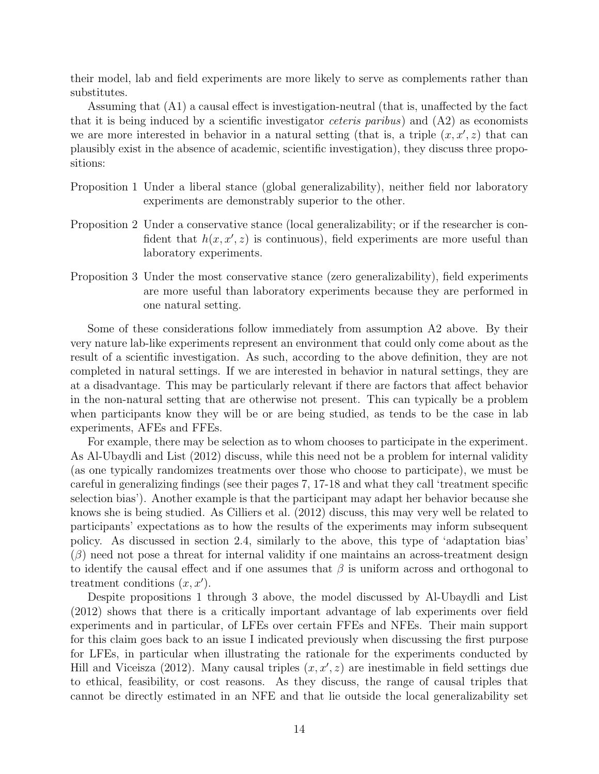their model, lab and field experiments are more likely to serve as complements rather than substitutes.

Assuming that (A1) a causal effect is investigation-neutral (that is, unaffected by the fact that it is being induced by a scientific investigator *ceteris paribus*) and  $(A2)$  as economists we are more interested in behavior in a natural setting (that is, a triple  $(x, x', z)$ ) that can plausibly exist in the absence of academic, scientific investigation), they discuss three propositions:

- Proposition 1 Under a liberal stance (global generalizability), neither field nor laboratory experiments are demonstrably superior to the other.
- Proposition 2 Under a conservative stance (local generalizability; or if the researcher is confident that  $h(x, x', z)$  is continuous), field experiments are more useful than laboratory experiments.
- Proposition 3 Under the most conservative stance (zero generalizability), field experiments are more useful than laboratory experiments because they are performed in one natural setting.

Some of these considerations follow immediately from assumption A2 above. By their very nature lab-like experiments represent an environment that could only come about as the result of a scientific investigation. As such, according to the above definition, they are not completed in natural settings. If we are interested in behavior in natural settings, they are at a disadvantage. This may be particularly relevant if there are factors that affect behavior in the non-natural setting that are otherwise not present. This can typically be a problem when participants know they will be or are being studied, as tends to be the case in lab experiments, AFEs and FFEs.

For example, there may be selection as to whom chooses to participate in the experiment. As Al-Ubaydli and List (2012) discuss, while this need not be a problem for internal validity (as one typically randomizes treatments over those who choose to participate), we must be careful in generalizing findings (see their pages 7, 17-18 and what they call 'treatment specific selection bias'). Another example is that the participant may adapt her behavior because she knows she is being studied. As Cilliers et al. (2012) discuss, this may very well be related to participants' expectations as to how the results of the experiments may inform subsequent policy. As discussed in section 2.4, similarly to the above, this type of 'adaptation bias'  $(\beta)$  need not pose a threat for internal validity if one maintains an across-treatment design to identify the causal effect and if one assumes that  $\beta$  is uniform across and orthogonal to treatment conditions  $(x, x')$ .

Despite propositions 1 through 3 above, the model discussed by Al-Ubaydli and List (2012) shows that there is a critically important advantage of lab experiments over field experiments and in particular, of LFEs over certain FFEs and NFEs. Their main support for this claim goes back to an issue I indicated previously when discussing the first purpose for LFEs, in particular when illustrating the rationale for the experiments conducted by Hill and Viceisza (2012). Many causal triples  $(x, x', z)$  are inestimable in field settings due to ethical, feasibility, or cost reasons. As they discuss, the range of causal triples that cannot be directly estimated in an NFE and that lie outside the local generalizability set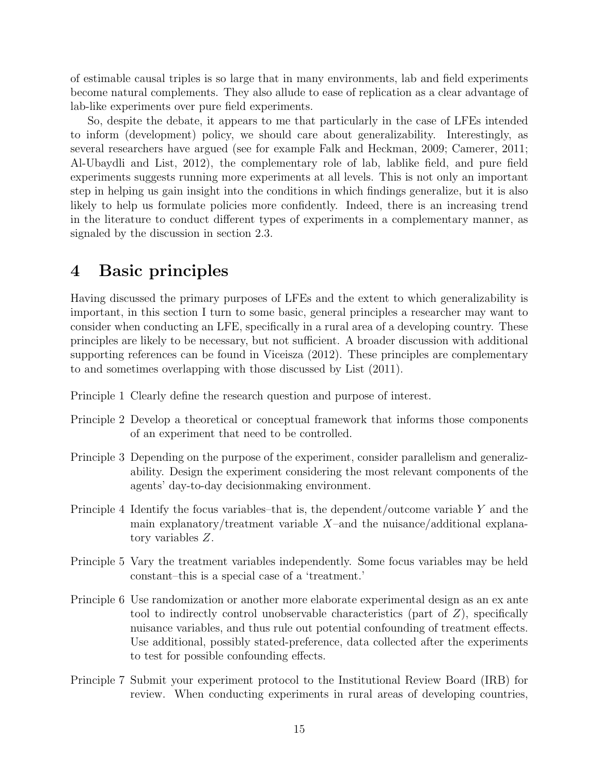of estimable causal triples is so large that in many environments, lab and field experiments become natural complements. They also allude to ease of replication as a clear advantage of lab-like experiments over pure field experiments.

So, despite the debate, it appears to me that particularly in the case of LFEs intended to inform (development) policy, we should care about generalizability. Interestingly, as several researchers have argued (see for example Falk and Heckman, 2009; Camerer, 2011; Al-Ubaydli and List, 2012), the complementary role of lab, lablike field, and pure field experiments suggests running more experiments at all levels. This is not only an important step in helping us gain insight into the conditions in which findings generalize, but it is also likely to help us formulate policies more confidently. Indeed, there is an increasing trend in the literature to conduct different types of experiments in a complementary manner, as signaled by the discussion in section 2.3.

# 4 Basic principles

Having discussed the primary purposes of LFEs and the extent to which generalizability is important, in this section I turn to some basic, general principles a researcher may want to consider when conducting an LFE, specifically in a rural area of a developing country. These principles are likely to be necessary, but not sufficient. A broader discussion with additional supporting references can be found in Viceisza (2012). These principles are complementary to and sometimes overlapping with those discussed by List (2011).

- Principle 1 Clearly define the research question and purpose of interest.
- Principle 2 Develop a theoretical or conceptual framework that informs those components of an experiment that need to be controlled.
- Principle 3 Depending on the purpose of the experiment, consider parallelism and generalizability. Design the experiment considering the most relevant components of the agents' day-to-day decisionmaking environment.
- Principle 4 Identify the focus variables–that is, the dependent/outcome variable Y and the main explanatory/treatment variable  $X$ –and the nuisance/additional explanatory variables Z.
- Principle 5 Vary the treatment variables independently. Some focus variables may be held constant–this is a special case of a 'treatment.'
- Principle 6 Use randomization or another more elaborate experimental design as an ex ante tool to indirectly control unobservable characteristics (part of  $Z$ ), specifically nuisance variables, and thus rule out potential confounding of treatment effects. Use additional, possibly stated-preference, data collected after the experiments to test for possible confounding effects.
- Principle 7 Submit your experiment protocol to the Institutional Review Board (IRB) for review. When conducting experiments in rural areas of developing countries,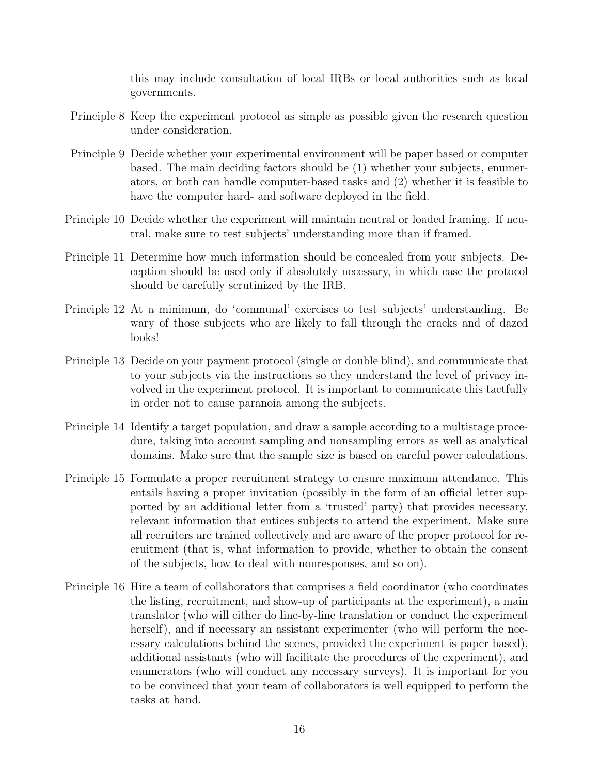this may include consultation of local IRBs or local authorities such as local governments.

- Principle 8 Keep the experiment protocol as simple as possible given the research question under consideration.
- Principle 9 Decide whether your experimental environment will be paper based or computer based. The main deciding factors should be (1) whether your subjects, enumerators, or both can handle computer-based tasks and (2) whether it is feasible to have the computer hard- and software deployed in the field.
- Principle 10 Decide whether the experiment will maintain neutral or loaded framing. If neutral, make sure to test subjects' understanding more than if framed.
- Principle 11 Determine how much information should be concealed from your subjects. Deception should be used only if absolutely necessary, in which case the protocol should be carefully scrutinized by the IRB.
- Principle 12 At a minimum, do 'communal' exercises to test subjects' understanding. Be wary of those subjects who are likely to fall through the cracks and of dazed looks!
- Principle 13 Decide on your payment protocol (single or double blind), and communicate that to your subjects via the instructions so they understand the level of privacy involved in the experiment protocol. It is important to communicate this tactfully in order not to cause paranoia among the subjects.
- Principle 14 Identify a target population, and draw a sample according to a multistage procedure, taking into account sampling and nonsampling errors as well as analytical domains. Make sure that the sample size is based on careful power calculations.
- Principle 15 Formulate a proper recruitment strategy to ensure maximum attendance. This entails having a proper invitation (possibly in the form of an official letter supported by an additional letter from a 'trusted' party) that provides necessary, relevant information that entices subjects to attend the experiment. Make sure all recruiters are trained collectively and are aware of the proper protocol for recruitment (that is, what information to provide, whether to obtain the consent of the subjects, how to deal with nonresponses, and so on).
- Principle 16 Hire a team of collaborators that comprises a field coordinator (who coordinates the listing, recruitment, and show-up of participants at the experiment), a main translator (who will either do line-by-line translation or conduct the experiment herself), and if necessary an assistant experimenter (who will perform the necessary calculations behind the scenes, provided the experiment is paper based), additional assistants (who will facilitate the procedures of the experiment), and enumerators (who will conduct any necessary surveys). It is important for you to be convinced that your team of collaborators is well equipped to perform the tasks at hand.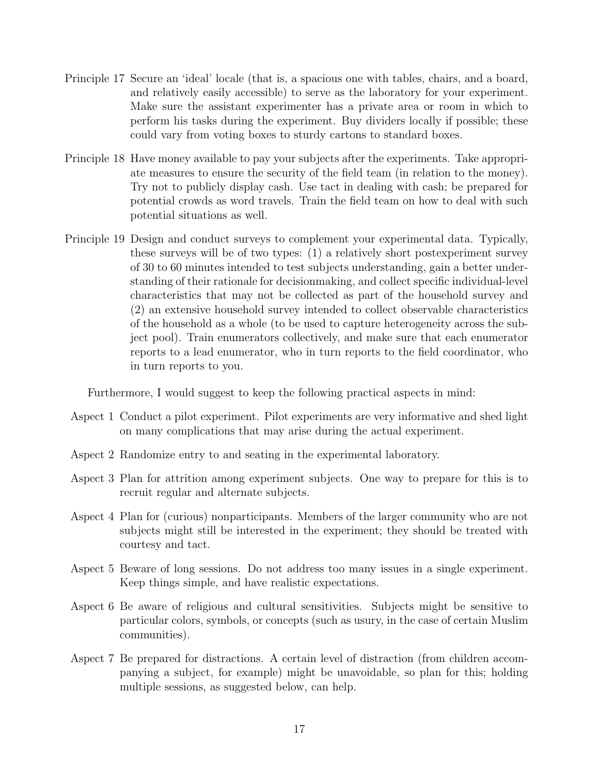- Principle 17 Secure an 'ideal' locale (that is, a spacious one with tables, chairs, and a board, and relatively easily accessible) to serve as the laboratory for your experiment. Make sure the assistant experimenter has a private area or room in which to perform his tasks during the experiment. Buy dividers locally if possible; these could vary from voting boxes to sturdy cartons to standard boxes.
- Principle 18 Have money available to pay your subjects after the experiments. Take appropriate measures to ensure the security of the field team (in relation to the money). Try not to publicly display cash. Use tact in dealing with cash; be prepared for potential crowds as word travels. Train the field team on how to deal with such potential situations as well.
- Principle 19 Design and conduct surveys to complement your experimental data. Typically, these surveys will be of two types: (1) a relatively short postexperiment survey of 30 to 60 minutes intended to test subjects understanding, gain a better understanding of their rationale for decisionmaking, and collect specific individual-level characteristics that may not be collected as part of the household survey and (2) an extensive household survey intended to collect observable characteristics of the household as a whole (to be used to capture heterogeneity across the subject pool). Train enumerators collectively, and make sure that each enumerator reports to a lead enumerator, who in turn reports to the field coordinator, who in turn reports to you.

Furthermore, I would suggest to keep the following practical aspects in mind:

- Aspect 1 Conduct a pilot experiment. Pilot experiments are very informative and shed light on many complications that may arise during the actual experiment.
- Aspect 2 Randomize entry to and seating in the experimental laboratory.
- Aspect 3 Plan for attrition among experiment subjects. One way to prepare for this is to recruit regular and alternate subjects.
- Aspect 4 Plan for (curious) nonparticipants. Members of the larger community who are not subjects might still be interested in the experiment; they should be treated with courtesy and tact.
- Aspect 5 Beware of long sessions. Do not address too many issues in a single experiment. Keep things simple, and have realistic expectations.
- Aspect 6 Be aware of religious and cultural sensitivities. Subjects might be sensitive to particular colors, symbols, or concepts (such as usury, in the case of certain Muslim communities).
- Aspect 7 Be prepared for distractions. A certain level of distraction (from children accompanying a subject, for example) might be unavoidable, so plan for this; holding multiple sessions, as suggested below, can help.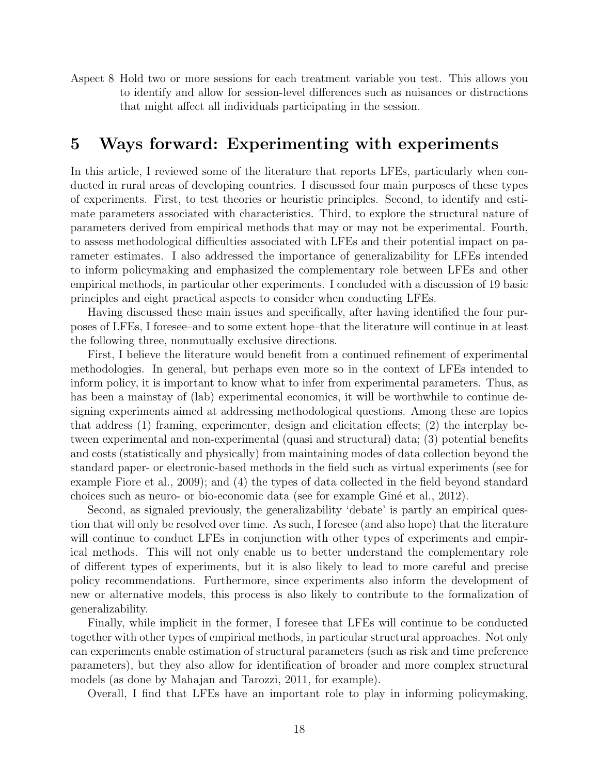Aspect 8 Hold two or more sessions for each treatment variable you test. This allows you to identify and allow for session-level differences such as nuisances or distractions that might affect all individuals participating in the session.

### 5 Ways forward: Experimenting with experiments

In this article, I reviewed some of the literature that reports LFEs, particularly when conducted in rural areas of developing countries. I discussed four main purposes of these types of experiments. First, to test theories or heuristic principles. Second, to identify and estimate parameters associated with characteristics. Third, to explore the structural nature of parameters derived from empirical methods that may or may not be experimental. Fourth, to assess methodological difficulties associated with LFEs and their potential impact on parameter estimates. I also addressed the importance of generalizability for LFEs intended to inform policymaking and emphasized the complementary role between LFEs and other empirical methods, in particular other experiments. I concluded with a discussion of 19 basic principles and eight practical aspects to consider when conducting LFEs.

Having discussed these main issues and specifically, after having identified the four purposes of LFEs, I foresee–and to some extent hope–that the literature will continue in at least the following three, nonmutually exclusive directions.

First, I believe the literature would benefit from a continued refinement of experimental methodologies. In general, but perhaps even more so in the context of LFEs intended to inform policy, it is important to know what to infer from experimental parameters. Thus, as has been a mainstay of (lab) experimental economics, it will be worthwhile to continue designing experiments aimed at addressing methodological questions. Among these are topics that address (1) framing, experimenter, design and elicitation effects; (2) the interplay between experimental and non-experimental (quasi and structural) data; (3) potential benefits and costs (statistically and physically) from maintaining modes of data collection beyond the standard paper- or electronic-based methods in the field such as virtual experiments (see for example Fiore et al., 2009); and (4) the types of data collected in the field beyond standard choices such as neuro- or bio-economic data (see for example Gin´e et al., 2012).

Second, as signaled previously, the generalizability 'debate' is partly an empirical question that will only be resolved over time. As such, I foresee (and also hope) that the literature will continue to conduct LFEs in conjunction with other types of experiments and empirical methods. This will not only enable us to better understand the complementary role of different types of experiments, but it is also likely to lead to more careful and precise policy recommendations. Furthermore, since experiments also inform the development of new or alternative models, this process is also likely to contribute to the formalization of generalizability.

Finally, while implicit in the former, I foresee that LFEs will continue to be conducted together with other types of empirical methods, in particular structural approaches. Not only can experiments enable estimation of structural parameters (such as risk and time preference parameters), but they also allow for identification of broader and more complex structural models (as done by Mahajan and Tarozzi, 2011, for example).

Overall, I find that LFEs have an important role to play in informing policymaking,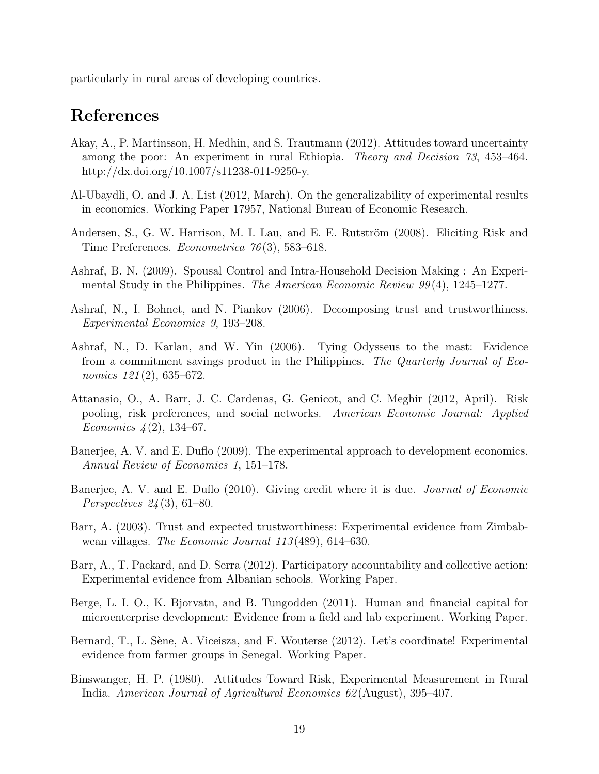particularly in rural areas of developing countries.

# References

- Akay, A., P. Martinsson, H. Medhin, and S. Trautmann (2012). Attitudes toward uncertainty among the poor: An experiment in rural Ethiopia. Theory and Decision 73, 453–464. http://dx.doi.org/10.1007/s11238-011-9250-y.
- Al-Ubaydli, O. and J. A. List (2012, March). On the generalizability of experimental results in economics. Working Paper 17957, National Bureau of Economic Research.
- Andersen, S., G. W. Harrison, M. I. Lau, and E. E. Rutström (2008). Eliciting Risk and Time Preferences. Econometrica 76 (3), 583–618.
- Ashraf, B. N. (2009). Spousal Control and Intra-Household Decision Making : An Experimental Study in the Philippines. The American Economic Review 99(4), 1245–1277.
- Ashraf, N., I. Bohnet, and N. Piankov (2006). Decomposing trust and trustworthiness. Experimental Economics 9, 193–208.
- Ashraf, N., D. Karlan, and W. Yin (2006). Tying Odysseus to the mast: Evidence from a commitment savings product in the Philippines. The Quarterly Journal of Economics 121(2), 635–672.
- Attanasio, O., A. Barr, J. C. Cardenas, G. Genicot, and C. Meghir (2012, April). Risk pooling, risk preferences, and social networks. American Economic Journal: Applied Economics  $\frac{1}{2}$ (2), 134–67.
- Banerjee, A. V. and E. Duflo (2009). The experimental approach to development economics. Annual Review of Economics 1, 151–178.
- Banerjee, A. V. and E. Duflo (2010). Giving credit where it is due. Journal of Economic Perspectives  $24(3)$ , 61–80.
- Barr, A. (2003). Trust and expected trustworthiness: Experimental evidence from Zimbabwean villages. The Economic Journal 113 (489), 614–630.
- Barr, A., T. Packard, and D. Serra (2012). Participatory accountability and collective action: Experimental evidence from Albanian schools. Working Paper.
- Berge, L. I. O., K. Bjorvatn, and B. Tungodden (2011). Human and financial capital for microenterprise development: Evidence from a field and lab experiment. Working Paper.
- Bernard, T., L. Sène, A. Viceisza, and F. Wouterse (2012). Let's coordinate! Experimental evidence from farmer groups in Senegal. Working Paper.
- Binswanger, H. P. (1980). Attitudes Toward Risk, Experimental Measurement in Rural India. American Journal of Agricultural Economics 62 (August), 395–407.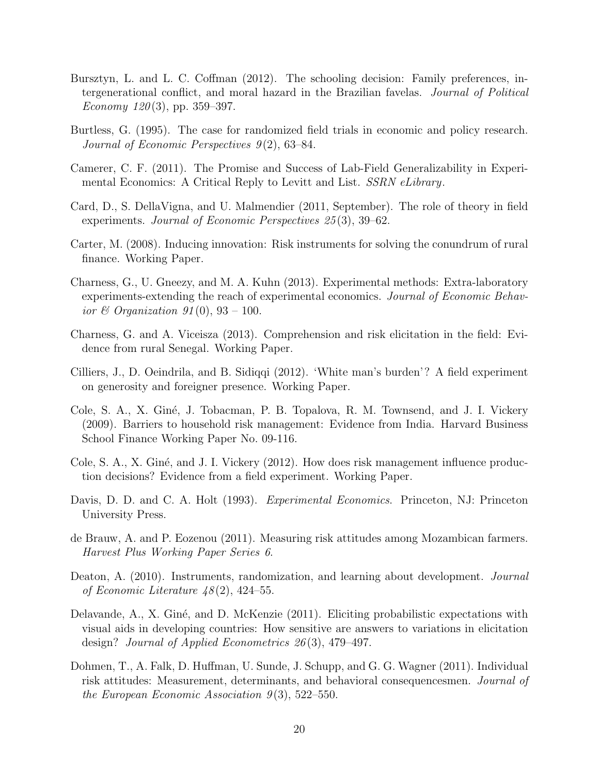- Bursztyn, L. and L. C. Coffman (2012). The schooling decision: Family preferences, intergenerational conflict, and moral hazard in the Brazilian favelas. Journal of Political Economy  $120(3)$ , pp. 359–397.
- Burtless, G. (1995). The case for randomized field trials in economic and policy research. Journal of Economic Perspectives  $9(2)$ , 63–84.
- Camerer, C. F. (2011). The Promise and Success of Lab-Field Generalizability in Experimental Economics: A Critical Reply to Levitt and List. *SSRN eLibrary*.
- Card, D., S. DellaVigna, and U. Malmendier (2011, September). The role of theory in field experiments. Journal of Economic Perspectives 25(3), 39–62.
- Carter, M. (2008). Inducing innovation: Risk instruments for solving the conundrum of rural finance. Working Paper.
- Charness, G., U. Gneezy, and M. A. Kuhn (2013). Experimental methods: Extra-laboratory experiments-extending the reach of experimental economics. Journal of Economic Behavior & Organization  $91(0)$ ,  $93-100$ .
- Charness, G. and A. Viceisza (2013). Comprehension and risk elicitation in the field: Evidence from rural Senegal. Working Paper.
- Cilliers, J., D. Oeindrila, and B. Sidiqqi (2012). 'White man's burden'? A field experiment on generosity and foreigner presence. Working Paper.
- Cole, S. A., X. Gin´e, J. Tobacman, P. B. Topalova, R. M. Townsend, and J. I. Vickery (2009). Barriers to household risk management: Evidence from India. Harvard Business School Finance Working Paper No. 09-116.
- Cole, S. A., X. Giné, and J. I. Vickery (2012). How does risk management influence production decisions? Evidence from a field experiment. Working Paper.
- Davis, D. D. and C. A. Holt (1993). Experimental Economics. Princeton, NJ: Princeton University Press.
- de Brauw, A. and P. Eozenou (2011). Measuring risk attitudes among Mozambican farmers. Harvest Plus Working Paper Series 6.
- Deaton, A. (2010). Instruments, randomization, and learning about development. *Journal* of Economic Literature  $48(2)$ , 424–55.
- Delavande, A., X. Giné, and D. McKenzie (2011). Eliciting probabilistic expectations with visual aids in developing countries: How sensitive are answers to variations in elicitation design? Journal of Applied Econometrics 26 (3), 479–497.
- Dohmen, T., A. Falk, D. Huffman, U. Sunde, J. Schupp, and G. G. Wagner (2011). Individual risk attitudes: Measurement, determinants, and behavioral consequencesmen. Journal of the European Economic Association  $9(3)$ , 522–550.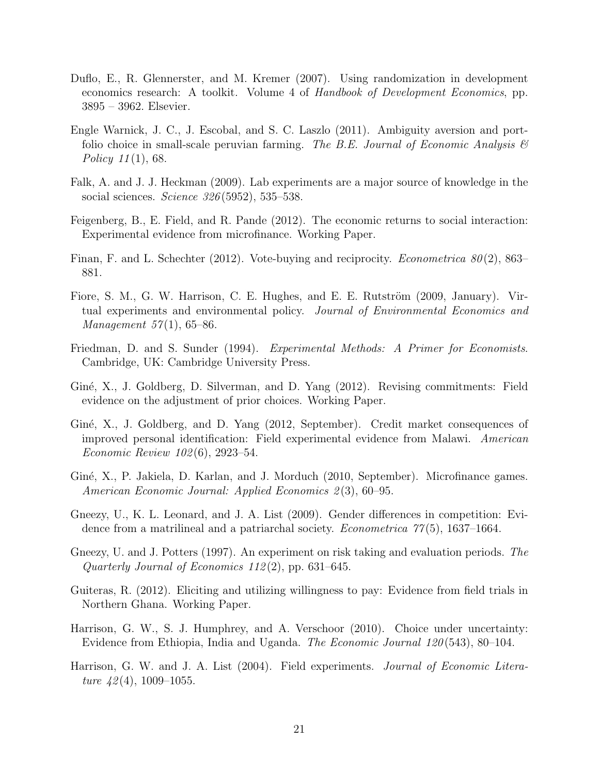- Duflo, E., R. Glennerster, and M. Kremer (2007). Using randomization in development economics research: A toolkit. Volume 4 of Handbook of Development Economics, pp. 3895 – 3962. Elsevier.
- Engle Warnick, J. C., J. Escobal, and S. C. Laszlo (2011). Ambiguity aversion and portfolio choice in small-scale peruvian farming. The B.E. Journal of Economic Analysis  $\mathcal C$ Policy  $11(1)$ , 68.
- Falk, A. and J. J. Heckman (2009). Lab experiments are a major source of knowledge in the social sciences. Science 326 (5952), 535–538.
- Feigenberg, B., E. Field, and R. Pande (2012). The economic returns to social interaction: Experimental evidence from microfinance. Working Paper.
- Finan, F. and L. Schechter (2012). Vote-buying and reciprocity. *Econometrica*  $80(2)$ , 863– 881.
- Fiore, S. M., G. W. Harrison, C. E. Hughes, and E. E. Rutström (2009, January). Virtual experiments and environmental policy. Journal of Environmental Economics and *Management*  $57(1)$ , 65–86.
- Friedman, D. and S. Sunder (1994). Experimental Methods: A Primer for Economists. Cambridge, UK: Cambridge University Press.
- Giné, X., J. Goldberg, D. Silverman, and D. Yang (2012). Revising commitments: Field evidence on the adjustment of prior choices. Working Paper.
- Giné, X., J. Goldberg, and D. Yang (2012, September). Credit market consequences of improved personal identification: Field experimental evidence from Malawi. American Economic Review 102 (6), 2923–54.
- Giné, X., P. Jakiela, D. Karlan, and J. Morduch (2010, September). Microfinance games. American Economic Journal: Applied Economics 2(3), 60–95.
- Gneezy, U., K. L. Leonard, and J. A. List (2009). Gender differences in competition: Evidence from a matrilineal and a patriarchal society. *Econometrica* 77(5), 1637–1664.
- Gneezy, U. and J. Potters (1997). An experiment on risk taking and evaluation periods. The Quarterly Journal of Economics  $112(2)$ , pp. 631–645.
- Guiteras, R. (2012). Eliciting and utilizing willingness to pay: Evidence from field trials in Northern Ghana. Working Paper.
- Harrison, G. W., S. J. Humphrey, and A. Verschoor (2010). Choice under uncertainty: Evidence from Ethiopia, India and Uganda. The Economic Journal 120 (543), 80–104.
- Harrison, G. W. and J. A. List (2004). Field experiments. Journal of Economic Literature  $42(4)$ , 1009-1055.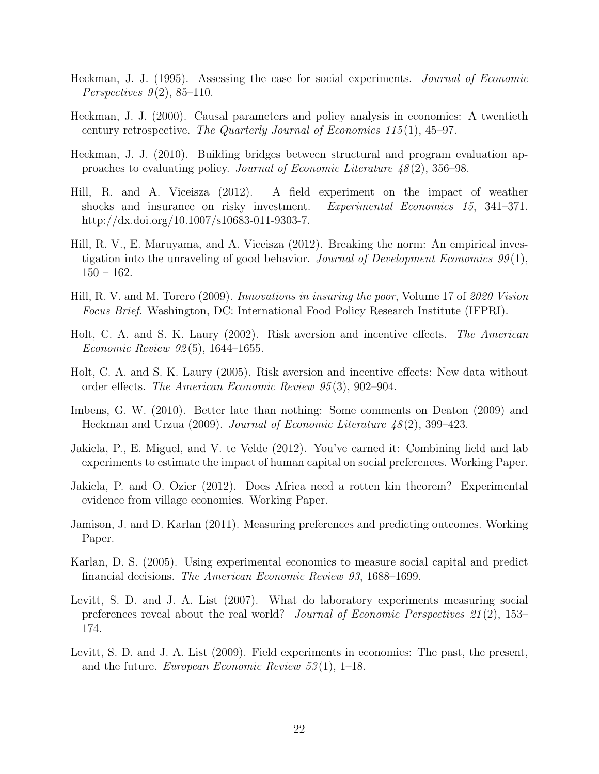- Heckman, J. J. (1995). Assessing the case for social experiments. Journal of Economic Perspectives  $9(2)$ , 85-110.
- Heckman, J. J. (2000). Causal parameters and policy analysis in economics: A twentieth century retrospective. The Quarterly Journal of Economics  $115(1)$ ,  $45-97$ .
- Heckman, J. J. (2010). Building bridges between structural and program evaluation approaches to evaluating policy. Journal of Economic Literature  $48(2)$ , 356–98.
- Hill, R. and A. Viceisza (2012). A field experiment on the impact of weather shocks and insurance on risky investment. Experimental Economics 15, 341–371. http://dx.doi.org/10.1007/s10683-011-9303-7.
- Hill, R. V., E. Maruyama, and A. Viceisza (2012). Breaking the norm: An empirical investigation into the unraveling of good behavior. Journal of Development Economics  $99(1)$ ,  $150 - 162.$
- Hill, R. V. and M. Torero (2009). Innovations in insuring the poor, Volume 17 of 2020 Vision Focus Brief. Washington, DC: International Food Policy Research Institute (IFPRI).
- Holt, C. A. and S. K. Laury (2002). Risk aversion and incentive effects. The American Economic Review 92 (5), 1644–1655.
- Holt, C. A. and S. K. Laury (2005). Risk aversion and incentive effects: New data without order effects. The American Economic Review 95 (3), 902–904.
- Imbens, G. W. (2010). Better late than nothing: Some comments on Deaton (2009) and Heckman and Urzua (2009). Journal of Economic Literature 48 (2), 399–423.
- Jakiela, P., E. Miguel, and V. te Velde (2012). You've earned it: Combining field and lab experiments to estimate the impact of human capital on social preferences. Working Paper.
- Jakiela, P. and O. Ozier (2012). Does Africa need a rotten kin theorem? Experimental evidence from village economies. Working Paper.
- Jamison, J. and D. Karlan (2011). Measuring preferences and predicting outcomes. Working Paper.
- Karlan, D. S. (2005). Using experimental economics to measure social capital and predict financial decisions. The American Economic Review 93, 1688–1699.
- Levitt, S. D. and J. A. List (2007). What do laboratory experiments measuring social preferences reveal about the real world? Journal of Economic Perspectives 21 (2), 153– 174.
- Levitt, S. D. and J. A. List (2009). Field experiments in economics: The past, the present, and the future. European Economic Review  $53(1)$ , 1–18.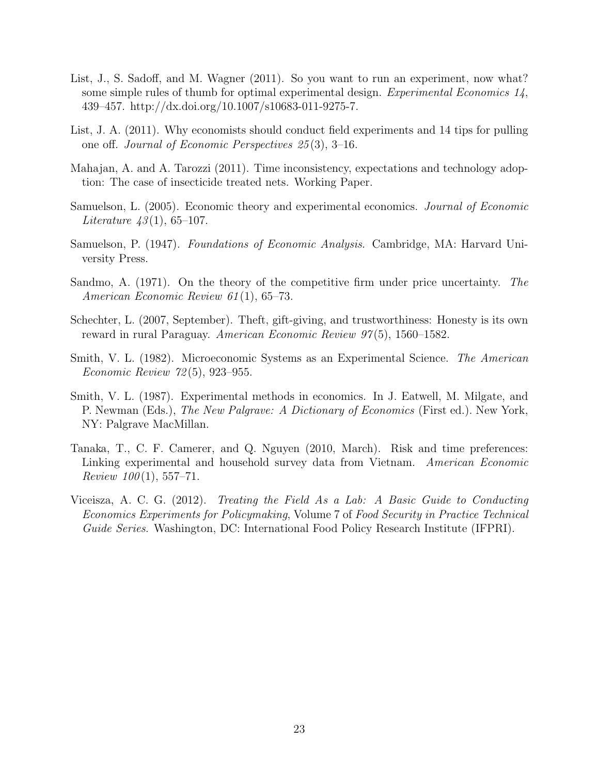- List, J., S. Sadoff, and M. Wagner (2011). So you want to run an experiment, now what? some simple rules of thumb for optimal experimental design. Experimental Economics 14, 439–457. http://dx.doi.org/10.1007/s10683-011-9275-7.
- List, J. A. (2011). Why economists should conduct field experiments and 14 tips for pulling one off. Journal of Economic Perspectives 25 (3), 3–16.
- Mahajan, A. and A. Tarozzi (2011). Time inconsistency, expectations and technology adoption: The case of insecticide treated nets. Working Paper.
- Samuelson, L. (2005). Economic theory and experimental economics. Journal of Economic *Literature 43*(1), 65–107.
- Samuelson, P. (1947). Foundations of Economic Analysis. Cambridge, MA: Harvard University Press.
- Sandmo, A. (1971). On the theory of the competitive firm under price uncertainty. The American Economic Review 61 (1), 65–73.
- Schechter, L. (2007, September). Theft, gift-giving, and trustworthiness: Honesty is its own reward in rural Paraguay. American Economic Review 97 (5), 1560–1582.
- Smith, V. L. (1982). Microeconomic Systems as an Experimental Science. The American Economic Review 72 (5), 923–955.
- Smith, V. L. (1987). Experimental methods in economics. In J. Eatwell, M. Milgate, and P. Newman (Eds.), The New Palgrave: A Dictionary of Economics (First ed.). New York, NY: Palgrave MacMillan.
- Tanaka, T., C. F. Camerer, and Q. Nguyen (2010, March). Risk and time preferences: Linking experimental and household survey data from Vietnam. American Economic  $Review 100(1), 557-71.$
- Viceisza, A. C. G. (2012). Treating the Field As a Lab: A Basic Guide to Conducting Economics Experiments for Policymaking, Volume 7 of Food Security in Practice Technical Guide Series. Washington, DC: International Food Policy Research Institute (IFPRI).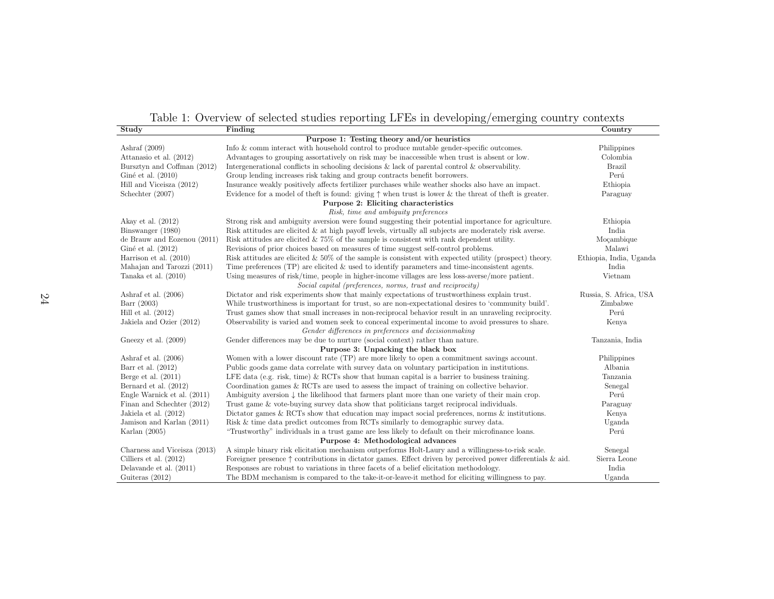Table 1: Overview of selected studies reporting LFEs in developing/emerging country contexts

| Study                                                 | Finding                                                                                                              | Country                 |  |  |
|-------------------------------------------------------|----------------------------------------------------------------------------------------------------------------------|-------------------------|--|--|
| Purpose 1: Testing theory and/or heuristics           |                                                                                                                      |                         |  |  |
| Ashraf $(2009)$                                       | Info & comm interact with household control to produce mutable gender-specific outcomes.                             | Philippines             |  |  |
| Attanasio et al. (2012)                               | Advantages to grouping assortatively on risk may be inaccessible when trust is absent or low.                        | Colombia                |  |  |
| Bursztyn and Coffman (2012)                           | Intergenerational conflicts in schooling decisions $\&$ lack of parental control $\&$ observability.                 | Brazil                  |  |  |
| Giné et al. $(2010)$                                  | Group lending increases risk taking and group contracts benefit borrowers.                                           | Perú                    |  |  |
| Hill and Viceisza (2012)                              | Insurance weakly positively affects fertilizer purchases while weather shocks also have an impact.                   | Ethiopia                |  |  |
| Schechter (2007)                                      | Evidence for a model of theft is found: giving $\uparrow$ when trust is lower & the threat of theft is greater.      | Paraguay                |  |  |
| Purpose 2: Eliciting characteristics                  |                                                                                                                      |                         |  |  |
|                                                       | Risk, time and ambiguity preferences                                                                                 |                         |  |  |
| Akay et al. $(2012)$                                  | Strong risk and ambiguity aversion were found suggesting their potential importance for agriculture.                 | Ethiopia                |  |  |
| Binswanger (1980)                                     | Risk attitudes are elicited $\&$ at high payoff levels, virtually all subjects are moderately risk averse.           | India                   |  |  |
| de Brauw and Eozenou (2011)                           | Risk attitudes are elicited $\&$ 75% of the sample is consistent with rank dependent utility.                        | Moçambique              |  |  |
| Giné et al. (2012)                                    | Revisions of prior choices based on measures of time suggest self-control problems.                                  | Malawi                  |  |  |
| Harrison et al. (2010)                                | Risk attitudes are elicited $\& 50\%$ of the sample is consistent with expected utility (prospect) theory.           | Ethiopia, India, Uganda |  |  |
| Mahajan and Tarozzi (2011)                            | Time preferences (TP) are elicited $\&$ used to identify parameters and time-inconsistent agents.                    | India                   |  |  |
| Tanaka et al. $(2010)$                                | Using measures of risk/time, people in higher-income villages are less loss-averse/more patient.                     | Vietnam                 |  |  |
|                                                       | Social capital (preferences, norms, trust and reciprocity)                                                           |                         |  |  |
| Ashraf et al. $(2006)$                                | Dictator and risk experiments show that mainly expectations of trustworthiness explain trust.                        | Russia, S. Africa, USA  |  |  |
| Barr (2003)                                           | While trustworthiness is important for trust, so are non-expectational desires to 'community build'.                 | Zimbabwe                |  |  |
| Hill et al. $(2012)$                                  | Trust games show that small increases in non-reciprocal behavior result in an unraveling reciprocity.                | Perú                    |  |  |
| Jakiela and Ozier (2012)                              | Observability is varied and women seek to conceal experimental income to avoid pressures to share.                   | Kenya                   |  |  |
| Gender differences in preferences and decision making |                                                                                                                      |                         |  |  |
| Gneezy et al. (2009)                                  | Gender differences may be due to nurture (social context) rather than nature.                                        | Tanzania, India         |  |  |
| Purpose 3: Unpacking the black box                    |                                                                                                                      |                         |  |  |
| Ashraf et al. $(2006)$                                | Women with a lower discount rate (TP) are more likely to open a commitment savings account.                          | Philippines             |  |  |
| Barr et al. $(2012)$                                  | Public goods game data correlate with survey data on voluntary participation in institutions.                        | Albania                 |  |  |
| Berge et al. $(2011)$                                 | LFE data (e.g. risk, time) & RCTs show that human capital is a barrier to business training.                         | Tanzania                |  |  |
| Bernard et al. (2012)                                 | Coordination games $\&$ RCTs are used to assess the impact of training on collective behavior.                       | Senegal                 |  |  |
| Engle Warnick et al. (2011)                           | Ambiguity aversion $\downarrow$ the likelihood that farmers plant more than one variety of their main crop.          | Perú                    |  |  |
| Finan and Schechter (2012)                            | Trust game & vote-buying survey data show that politicians target reciprocal individuals.                            | Paraguay                |  |  |
| Jakiela et al. $(2012)$                               | Dictator games & RCTs show that education may impact social preferences, norms $\&$ institutions.                    | Kenya                   |  |  |
| Jamison and Karlan (2011)                             | Risk & time data predict outcomes from RCTs similarly to demographic survey data.                                    | Uganda                  |  |  |
| Karlan $(2005)$                                       | "Trustworthy" individuals in a trust game are less likely to default on their microfinance loans.                    | Perú                    |  |  |
| Purpose 4: Methodological advances                    |                                                                                                                      |                         |  |  |
| Charness and Viceisza (2013)                          | A simple binary risk elicitation mechanism outperforms Holt-Laury and a willingness-to-risk scale.                   | Senegal                 |  |  |
| Cilliers et al. $(2012)$                              | Foreigner presence $\uparrow$ contributions in dictator games. Effect driven by perceived power differentials & aid. | Sierra Leone            |  |  |
| Delavande et al. (2011)                               | Responses are robust to variations in three facets of a belief elicitation methodology.                              | India                   |  |  |
| Guiteras (2012)                                       | The BDM mechanism is compared to the take-it-or-leave-it method for eliciting willingness to pay.                    | Uganda                  |  |  |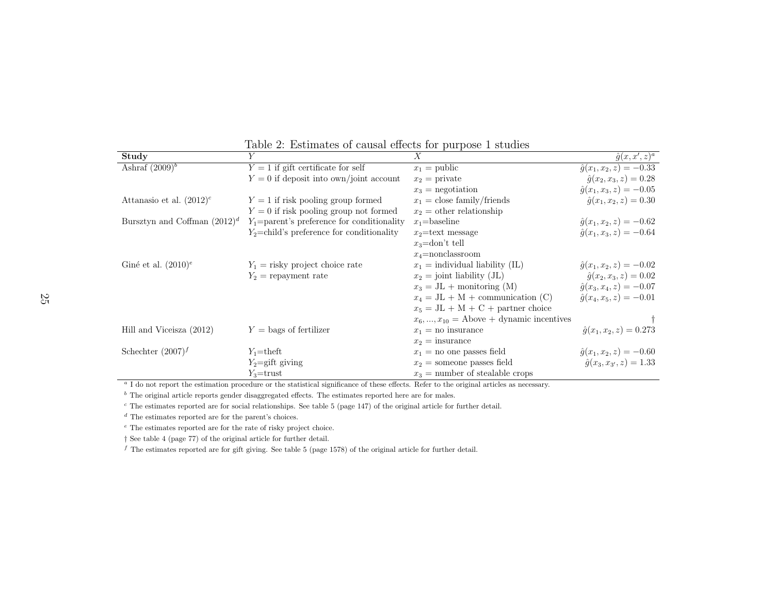| Study                           | V                                                                                                                                                    | $\mathbf{r} = \mathbf{r}$<br>$\boldsymbol{X}$ | $\hat{g}(x, x', z)^a$                 |
|---------------------------------|------------------------------------------------------------------------------------------------------------------------------------------------------|-----------------------------------------------|---------------------------------------|
| Ashraf $(2009)^b$               | $Y = 1$ if gift certificate for self                                                                                                                 | $x_1 =$ public                                | $\hat{g}(x_1, x_2, z) = -0.33$        |
|                                 | $Y = 0$ if deposit into own/joint account                                                                                                            | $x_2$ = private                               | $\hat{g}(x_2, x_3, z) = 0.28$         |
|                                 |                                                                                                                                                      | $x_3$ = negotiation                           | $\hat{g}(x_1, x_3, z) = -0.05$        |
| Attanasio et al. $(2012)^c$     | $Y = 1$ if risk pooling group formed                                                                                                                 | $x_1 =$ close family/friends                  | $\hat{g}(x_1, x_2, z) = 0.30$         |
|                                 | $Y = 0$ if risk pooling group not formed                                                                                                             | $x_2 =$ other relationship                    |                                       |
| Bursztyn and Coffman $(2012)^d$ | $Y_1$ =parent's preference for conditionality                                                                                                        | $x_1$ =baseline                               | $\hat{g}(x_1, x_2, z) = -0.62$        |
|                                 | $Y_2$ =child's preference for conditionality                                                                                                         | $x_2$ =text message                           | $\hat{g}(x_1, x_3, z) = -0.64$        |
|                                 |                                                                                                                                                      | $x_3$ =don't tell                             |                                       |
|                                 |                                                                                                                                                      | $x_4$ =nonclassroom                           |                                       |
| Giné et al. $(2010)^e$          | $Y_1$ = risky project choice rate                                                                                                                    | $x_1$ = individual liability (IL)             | $\hat{g}(x_1, x_2, z) = -0.02$        |
|                                 | $Y_2$ = repayment rate                                                                                                                               | $x_2 =$ joint liability (JL)                  | $\hat{g}(x_2, x_3, z) = 0.02$         |
|                                 |                                                                                                                                                      | $x_3 = JL +$ monitoring (M)                   | $\hat{g}(x_3, x_4, z) = -0.07$        |
|                                 |                                                                                                                                                      | $x_4 = JL + M + communication (C)$            | $\hat{q}(x_4, x_5, z) = -0.01$        |
|                                 |                                                                                                                                                      | $x_5 = JL + M + C +$ partner choice           |                                       |
|                                 |                                                                                                                                                      | $x_6, , x_{10}$ = Above + dynamic incentives  |                                       |
| Hill and Viceisza (2012)        | $Y = \text{bags of fertilizer}$                                                                                                                      | $x_1$ = no insurance                          | $\hat{g}(x_1, x_2, z) = 0.273$        |
|                                 |                                                                                                                                                      | $x_2 =$ insurance                             |                                       |
| Schechter $(2007)^f$            | $Y_1$ =theft                                                                                                                                         | $x_1$ = no one passes field                   | $\hat{g}(x_1, x_2, z) = -0.60$        |
|                                 | $Y_2 = \text{gift}$ giving                                                                                                                           | $x_2$ = someone passes field                  | $\hat{g}(x_3, x_{3\prime}, z) = 1.33$ |
|                                 | $Y_3$ =trust                                                                                                                                         | $x_3$ = number of stealable crops             |                                       |
|                                 | <sup>a</sup> I do not report the estimation procedure or the statistical significance of these effects. Refer to the original articles as necessary. |                                               |                                       |

Table 2: Estimates of causal effects for purpose 1 studies

 $b<sup>b</sup>$  The original article reports gender disaggregated effects. The estimates reported here are for males.

 $\epsilon$  The estimates reported are for social relationships. See table 5 (page 147) of the original article for further detail.

 $d$  The estimates reported are for the parent's choices.

e The estimates reported are for the rate of risky project choice.

† See table <sup>4</sup> (page 77) of the original article for further detail.

f The estimates reported are for gift giving. See table 5 (page 1578) of the original article for further detail.